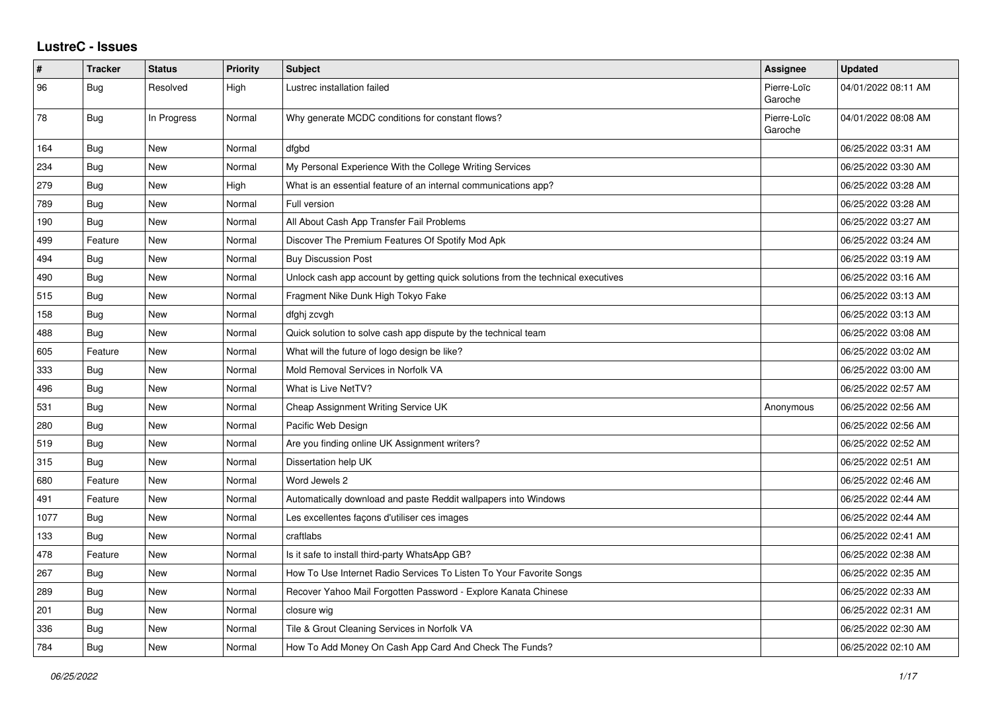## **LustreC - Issues**

| #    | <b>Tracker</b> | <b>Status</b> | <b>Priority</b> | Subject                                                                          | <b>Assignee</b>        | <b>Updated</b>      |
|------|----------------|---------------|-----------------|----------------------------------------------------------------------------------|------------------------|---------------------|
| 96   | Bug            | Resolved      | High            | Lustrec installation failed                                                      | Pierre-Loïc<br>Garoche | 04/01/2022 08:11 AM |
| 78   | Bug            | In Progress   | Normal          | Why generate MCDC conditions for constant flows?                                 | Pierre-Loïc<br>Garoche | 04/01/2022 08:08 AM |
| 164  | Bug            | New           | Normal          | dfgbd                                                                            |                        | 06/25/2022 03:31 AM |
| 234  | <b>Bug</b>     | New           | Normal          | My Personal Experience With the College Writing Services                         |                        | 06/25/2022 03:30 AM |
| 279  | Bug            | <b>New</b>    | High            | What is an essential feature of an internal communications app?                  |                        | 06/25/2022 03:28 AM |
| 789  | Bug            | <b>New</b>    | Normal          | Full version                                                                     |                        | 06/25/2022 03:28 AM |
| 190  | Bug            | New           | Normal          | All About Cash App Transfer Fail Problems                                        |                        | 06/25/2022 03:27 AM |
| 499  | Feature        | <b>New</b>    | Normal          | Discover The Premium Features Of Spotify Mod Apk                                 |                        | 06/25/2022 03:24 AM |
| 494  | Bug            | New           | Normal          | <b>Buy Discussion Post</b>                                                       |                        | 06/25/2022 03:19 AM |
| 490  | <b>Bug</b>     | New           | Normal          | Unlock cash app account by getting quick solutions from the technical executives |                        | 06/25/2022 03:16 AM |
| 515  | Bug            | <b>New</b>    | Normal          | Fragment Nike Dunk High Tokyo Fake                                               |                        | 06/25/2022 03:13 AM |
| 158  | Bug            | <b>New</b>    | Normal          | dfghj zcvgh                                                                      |                        | 06/25/2022 03:13 AM |
| 488  | Bug            | New           | Normal          | Quick solution to solve cash app dispute by the technical team                   |                        | 06/25/2022 03:08 AM |
| 605  | Feature        | <b>New</b>    | Normal          | What will the future of logo design be like?                                     |                        | 06/25/2022 03:02 AM |
| 333  | <b>Bug</b>     | <b>New</b>    | Normal          | Mold Removal Services in Norfolk VA                                              |                        | 06/25/2022 03:00 AM |
| 496  | <b>Bug</b>     | New           | Normal          | What is Live NetTV?                                                              |                        | 06/25/2022 02:57 AM |
| 531  | Bug            | New           | Normal          | Cheap Assignment Writing Service UK                                              | Anonymous              | 06/25/2022 02:56 AM |
| 280  | <b>Bug</b>     | <b>New</b>    | Normal          | Pacific Web Design                                                               |                        | 06/25/2022 02:56 AM |
| 519  | Bug            | New           | Normal          | Are you finding online UK Assignment writers?                                    |                        | 06/25/2022 02:52 AM |
| 315  | Bug            | <b>New</b>    | Normal          | Dissertation help UK                                                             |                        | 06/25/2022 02:51 AM |
| 680  | Feature        | New           | Normal          | Word Jewels 2                                                                    |                        | 06/25/2022 02:46 AM |
| 491  | Feature        | New           | Normal          | Automatically download and paste Reddit wallpapers into Windows                  |                        | 06/25/2022 02:44 AM |
| 1077 | Bug            | New           | Normal          | Les excellentes façons d'utiliser ces images                                     |                        | 06/25/2022 02:44 AM |
| 133  | Bug            | <b>New</b>    | Normal          | craftlabs                                                                        |                        | 06/25/2022 02:41 AM |
| 478  | Feature        | New           | Normal          | Is it safe to install third-party WhatsApp GB?                                   |                        | 06/25/2022 02:38 AM |
| 267  | <b>Bug</b>     | <b>New</b>    | Normal          | How To Use Internet Radio Services To Listen To Your Favorite Songs              |                        | 06/25/2022 02:35 AM |
| 289  | <b>Bug</b>     | <b>New</b>    | Normal          | Recover Yahoo Mail Forgotten Password - Explore Kanata Chinese                   |                        | 06/25/2022 02:33 AM |
| 201  | Bug            | New           | Normal          | closure wig                                                                      |                        | 06/25/2022 02:31 AM |
| 336  | <b>Bug</b>     | New           | Normal          | Tile & Grout Cleaning Services in Norfolk VA                                     |                        | 06/25/2022 02:30 AM |
| 784  | Bug            | <b>New</b>    | Normal          | How To Add Money On Cash App Card And Check The Funds?                           |                        | 06/25/2022 02:10 AM |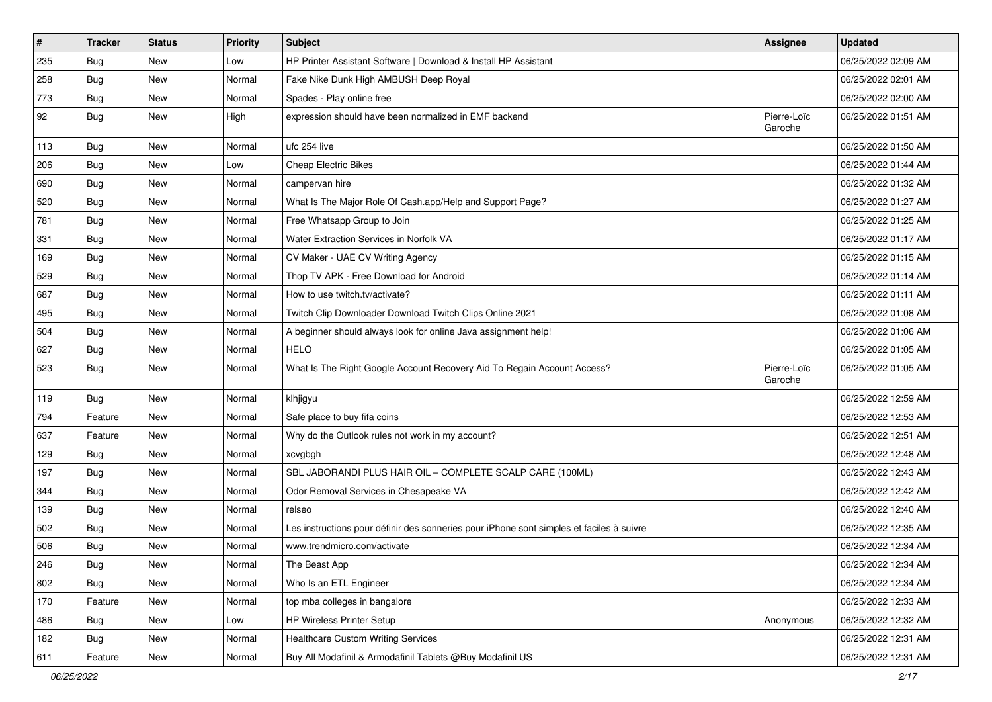| $\sharp$ | <b>Tracker</b> | <b>Status</b> | Priority | Subject                                                                                  | <b>Assignee</b>        | <b>Updated</b>      |
|----------|----------------|---------------|----------|------------------------------------------------------------------------------------------|------------------------|---------------------|
| 235      | <b>Bug</b>     | New           | Low      | HP Printer Assistant Software   Download & Install HP Assistant                          |                        | 06/25/2022 02:09 AM |
| 258      | Bug            | New           | Normal   | Fake Nike Dunk High AMBUSH Deep Royal                                                    |                        | 06/25/2022 02:01 AM |
| 773      | Bug            | New           | Normal   | Spades - Play online free                                                                |                        | 06/25/2022 02:00 AM |
| 92       | <b>Bug</b>     | New           | High     | expression should have been normalized in EMF backend                                    | Pierre-Loïc<br>Garoche | 06/25/2022 01:51 AM |
| 113      | <b>Bug</b>     | New           | Normal   | ufc 254 live                                                                             |                        | 06/25/2022 01:50 AM |
| 206      | Bug            | <b>New</b>    | Low      | <b>Cheap Electric Bikes</b>                                                              |                        | 06/25/2022 01:44 AM |
| 690      | Bug            | <b>New</b>    | Normal   | campervan hire                                                                           |                        | 06/25/2022 01:32 AM |
| 520      | <b>Bug</b>     | <b>New</b>    | Normal   | What Is The Major Role Of Cash.app/Help and Support Page?                                |                        | 06/25/2022 01:27 AM |
| 781      | Bug            | <b>New</b>    | Normal   | Free Whatsapp Group to Join                                                              |                        | 06/25/2022 01:25 AM |
| 331      | <b>Bug</b>     | New           | Normal   | Water Extraction Services in Norfolk VA                                                  |                        | 06/25/2022 01:17 AM |
| 169      | <b>Bug</b>     | New           | Normal   | CV Maker - UAE CV Writing Agency                                                         |                        | 06/25/2022 01:15 AM |
| 529      | Bug            | <b>New</b>    | Normal   | Thop TV APK - Free Download for Android                                                  |                        | 06/25/2022 01:14 AM |
| 687      | <b>Bug</b>     | New           | Normal   | How to use twitch.tv/activate?                                                           |                        | 06/25/2022 01:11 AM |
| 495      | <b>Bug</b>     | <b>New</b>    | Normal   | Twitch Clip Downloader Download Twitch Clips Online 2021                                 |                        | 06/25/2022 01:08 AM |
| 504      | <b>Bug</b>     | New           | Normal   | A beginner should always look for online Java assignment help!                           |                        | 06/25/2022 01:06 AM |
| 627      | <b>Bug</b>     | <b>New</b>    | Normal   | <b>HELO</b>                                                                              |                        | 06/25/2022 01:05 AM |
| 523      | <b>Bug</b>     | <b>New</b>    | Normal   | What Is The Right Google Account Recovery Aid To Regain Account Access?                  | Pierre-Loïc<br>Garoche | 06/25/2022 01:05 AM |
| 119      | Bug            | <b>New</b>    | Normal   | klhjigyu                                                                                 |                        | 06/25/2022 12:59 AM |
| 794      | Feature        | <b>New</b>    | Normal   | Safe place to buy fifa coins                                                             |                        | 06/25/2022 12:53 AM |
| 637      | Feature        | New           | Normal   | Why do the Outlook rules not work in my account?                                         |                        | 06/25/2022 12:51 AM |
| 129      | Bug            | <b>New</b>    | Normal   | xcvgbgh                                                                                  |                        | 06/25/2022 12:48 AM |
| 197      | <b>Bug</b>     | New           | Normal   | SBL JABORANDI PLUS HAIR OIL - COMPLETE SCALP CARE (100ML)                                |                        | 06/25/2022 12:43 AM |
| 344      | <b>Bug</b>     | New           | Normal   | Odor Removal Services in Chesapeake VA                                                   |                        | 06/25/2022 12:42 AM |
| 139      | Bug            | <b>New</b>    | Normal   | relseo                                                                                   |                        | 06/25/2022 12:40 AM |
| 502      | <b>Bug</b>     | New           | Normal   | Les instructions pour définir des sonneries pour iPhone sont simples et faciles à suivre |                        | 06/25/2022 12:35 AM |
| 506      | <b>Bug</b>     | New           | Normal   | www.trendmicro.com/activate                                                              |                        | 06/25/2022 12:34 AM |
| 246      | <b>Bug</b>     | New           | Normal   | The Beast App                                                                            |                        | 06/25/2022 12:34 AM |
| 802      | Bug            | New           | Normal   | Who Is an ETL Engineer                                                                   |                        | 06/25/2022 12:34 AM |
| 170      | Feature        | New           | Normal   | top mba colleges in bangalore                                                            |                        | 06/25/2022 12:33 AM |
| 486      | Bug            | New           | Low      | HP Wireless Printer Setup                                                                | Anonymous              | 06/25/2022 12:32 AM |
| 182      | Bug            | New           | Normal   | <b>Healthcare Custom Writing Services</b>                                                |                        | 06/25/2022 12:31 AM |
| 611      | Feature        | New           | Normal   | Buy All Modafinil & Armodafinil Tablets @Buy Modafinil US                                |                        | 06/25/2022 12:31 AM |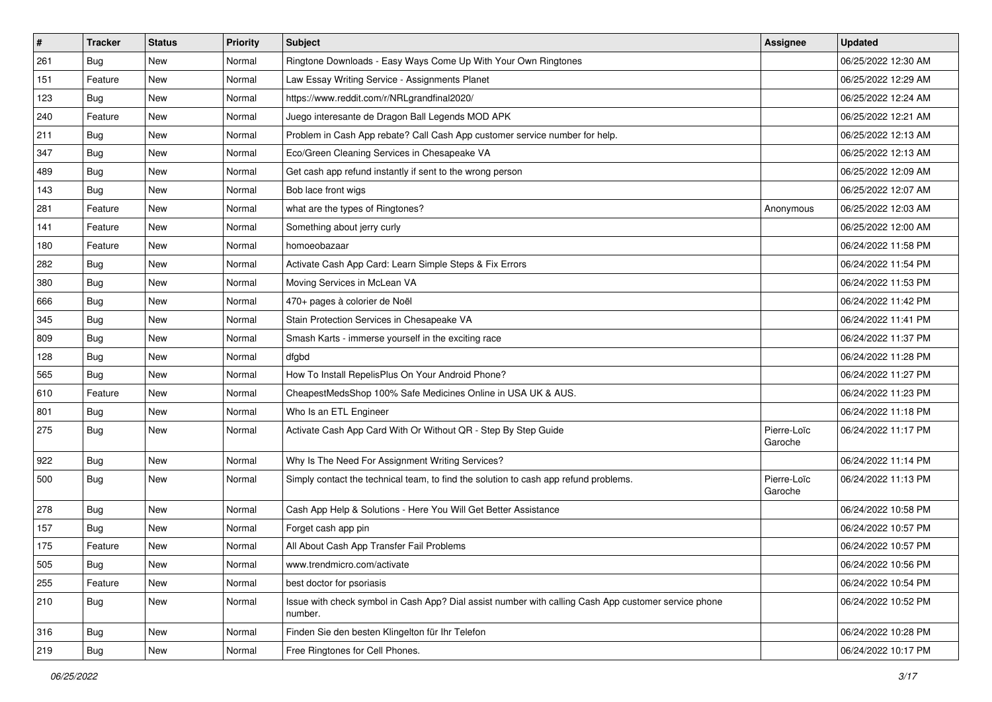| $\vert$ # | <b>Tracker</b> | <b>Status</b> | <b>Priority</b> | Subject                                                                                                         | Assignee               | <b>Updated</b>      |
|-----------|----------------|---------------|-----------------|-----------------------------------------------------------------------------------------------------------------|------------------------|---------------------|
| 261       | Bug            | New           | Normal          | Ringtone Downloads - Easy Ways Come Up With Your Own Ringtones                                                  |                        | 06/25/2022 12:30 AM |
| 151       | Feature        | New           | Normal          | Law Essay Writing Service - Assignments Planet                                                                  |                        | 06/25/2022 12:29 AM |
| 123       | Bug            | New           | Normal          | https://www.reddit.com/r/NRLgrandfinal2020/                                                                     |                        | 06/25/2022 12:24 AM |
| 240       | Feature        | New           | Normal          | Juego interesante de Dragon Ball Legends MOD APK                                                                |                        | 06/25/2022 12:21 AM |
| 211       | <b>Bug</b>     | <b>New</b>    | Normal          | Problem in Cash App rebate? Call Cash App customer service number for help.                                     |                        | 06/25/2022 12:13 AM |
| 347       | Bug            | New           | Normal          | Eco/Green Cleaning Services in Chesapeake VA                                                                    |                        | 06/25/2022 12:13 AM |
| 489       | Bug            | New           | Normal          | Get cash app refund instantly if sent to the wrong person                                                       |                        | 06/25/2022 12:09 AM |
| 143       | <b>Bug</b>     | New           | Normal          | Bob lace front wigs                                                                                             |                        | 06/25/2022 12:07 AM |
| 281       | Feature        | <b>New</b>    | Normal          | what are the types of Ringtones?                                                                                | Anonymous              | 06/25/2022 12:03 AM |
| 141       | Feature        | New           | Normal          | Something about jerry curly                                                                                     |                        | 06/25/2022 12:00 AM |
| 180       | Feature        | New           | Normal          | homoeobazaar                                                                                                    |                        | 06/24/2022 11:58 PM |
| 282       | <b>Bug</b>     | New           | Normal          | Activate Cash App Card: Learn Simple Steps & Fix Errors                                                         |                        | 06/24/2022 11:54 PM |
| 380       | Bug            | <b>New</b>    | Normal          | Moving Services in McLean VA                                                                                    |                        | 06/24/2022 11:53 PM |
| 666       | Bug            | New           | Normal          | 470+ pages à colorier de Noël                                                                                   |                        | 06/24/2022 11:42 PM |
| 345       | Bug            | New           | Normal          | Stain Protection Services in Chesapeake VA                                                                      |                        | 06/24/2022 11:41 PM |
| 809       | Bug            | New           | Normal          | Smash Karts - immerse yourself in the exciting race                                                             |                        | 06/24/2022 11:37 PM |
| 128       | Bug            | New           | Normal          | dfgbd                                                                                                           |                        | 06/24/2022 11:28 PM |
| 565       | Bug            | <b>New</b>    | Normal          | How To Install RepelisPlus On Your Android Phone?                                                               |                        | 06/24/2022 11:27 PM |
| 610       | Feature        | New           | Normal          | CheapestMedsShop 100% Safe Medicines Online in USA UK & AUS.                                                    |                        | 06/24/2022 11:23 PM |
| 801       | <b>Bug</b>     | <b>New</b>    | Normal          | Who Is an ETL Engineer                                                                                          |                        | 06/24/2022 11:18 PM |
| 275       | <b>Bug</b>     | New           | Normal          | Activate Cash App Card With Or Without QR - Step By Step Guide                                                  | Pierre-Loïc<br>Garoche | 06/24/2022 11:17 PM |
| 922       | <b>Bug</b>     | New           | Normal          | Why Is The Need For Assignment Writing Services?                                                                |                        | 06/24/2022 11:14 PM |
| 500       | Bug            | New           | Normal          | Simply contact the technical team, to find the solution to cash app refund problems.                            | Pierre-Loïc<br>Garoche | 06/24/2022 11:13 PM |
| 278       | Bug            | <b>New</b>    | Normal          | Cash App Help & Solutions - Here You Will Get Better Assistance                                                 |                        | 06/24/2022 10:58 PM |
| 157       | <b>Bug</b>     | New           | Normal          | Forget cash app pin                                                                                             |                        | 06/24/2022 10:57 PM |
| 175       | Feature        | New           | Normal          | All About Cash App Transfer Fail Problems                                                                       |                        | 06/24/2022 10:57 PM |
| 505       | Bug            | New           | Normal          | www.trendmicro.com/activate                                                                                     |                        | 06/24/2022 10:56 PM |
| 255       | Feature        | New           | Normal          | best doctor for psoriasis                                                                                       |                        | 06/24/2022 10:54 PM |
| 210       | Bug            | New           | Normal          | Issue with check symbol in Cash App? Dial assist number with calling Cash App customer service phone<br>number. |                        | 06/24/2022 10:52 PM |
| 316       | <b>Bug</b>     | New           | Normal          | Finden Sie den besten Klingelton für Ihr Telefon                                                                |                        | 06/24/2022 10:28 PM |
| 219       | <b>Bug</b>     | New           | Normal          | Free Ringtones for Cell Phones.                                                                                 |                        | 06/24/2022 10:17 PM |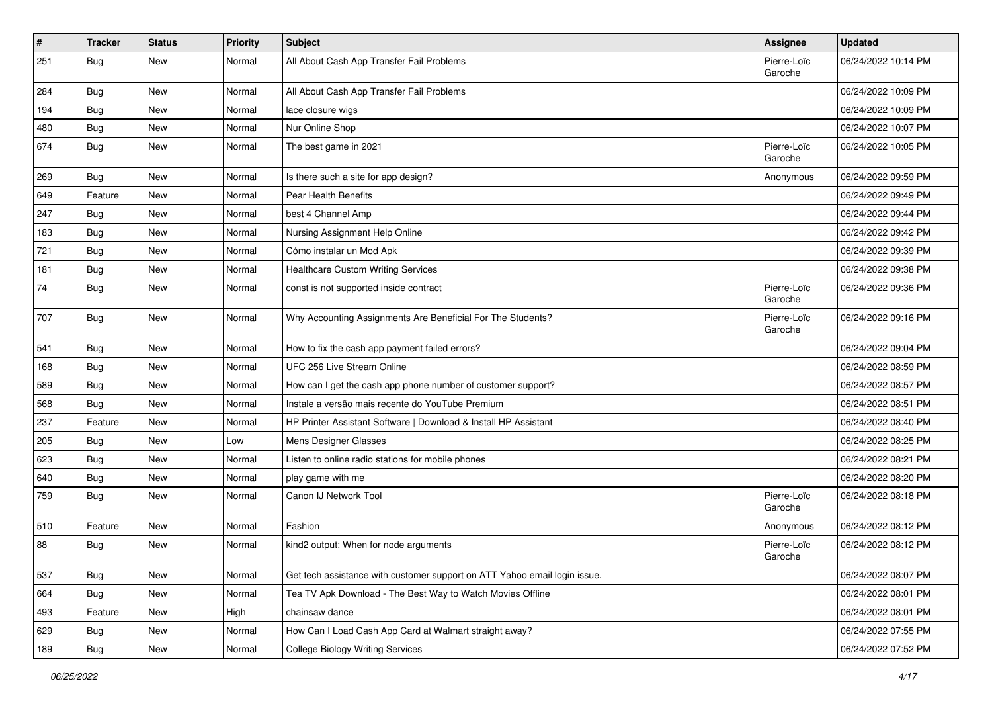| #   | <b>Tracker</b> | <b>Status</b> | <b>Priority</b> | Subject                                                                   | Assignee               | <b>Updated</b>      |
|-----|----------------|---------------|-----------------|---------------------------------------------------------------------------|------------------------|---------------------|
| 251 | <b>Bug</b>     | New           | Normal          | All About Cash App Transfer Fail Problems                                 | Pierre-Loïc<br>Garoche | 06/24/2022 10:14 PM |
| 284 | <b>Bug</b>     | <b>New</b>    | Normal          | All About Cash App Transfer Fail Problems                                 |                        | 06/24/2022 10:09 PM |
| 194 | Bug            | <b>New</b>    | Normal          | lace closure wigs                                                         |                        | 06/24/2022 10:09 PM |
| 480 | Bug            | <b>New</b>    | Normal          | Nur Online Shop                                                           |                        | 06/24/2022 10:07 PM |
| 674 | <b>Bug</b>     | <b>New</b>    | Normal          | The best game in 2021                                                     | Pierre-Loïc<br>Garoche | 06/24/2022 10:05 PM |
| 269 | <b>Bug</b>     | <b>New</b>    | Normal          | Is there such a site for app design?                                      | Anonymous              | 06/24/2022 09:59 PM |
| 649 | Feature        | <b>New</b>    | Normal          | Pear Health Benefits                                                      |                        | 06/24/2022 09:49 PM |
| 247 | Bug            | <b>New</b>    | Normal          | best 4 Channel Amp                                                        |                        | 06/24/2022 09:44 PM |
| 183 | <b>Bug</b>     | New           | Normal          | Nursing Assignment Help Online                                            |                        | 06/24/2022 09:42 PM |
| 721 | <b>Bug</b>     | New           | Normal          | Cómo instalar un Mod Apk                                                  |                        | 06/24/2022 09:39 PM |
| 181 | Bug            | <b>New</b>    | Normal          | <b>Healthcare Custom Writing Services</b>                                 |                        | 06/24/2022 09:38 PM |
| 74  | <b>Bug</b>     | New           | Normal          | const is not supported inside contract                                    | Pierre-Loïc<br>Garoche | 06/24/2022 09:36 PM |
| 707 | Bug            | <b>New</b>    | Normal          | Why Accounting Assignments Are Beneficial For The Students?               | Pierre-Loïc<br>Garoche | 06/24/2022 09:16 PM |
| 541 | Bug            | New           | Normal          | How to fix the cash app payment failed errors?                            |                        | 06/24/2022 09:04 PM |
| 168 | Bug            | New           | Normal          | UFC 256 Live Stream Online                                                |                        | 06/24/2022 08:59 PM |
| 589 | Bug            | <b>New</b>    | Normal          | How can I get the cash app phone number of customer support?              |                        | 06/24/2022 08:57 PM |
| 568 | Bug            | <b>New</b>    | Normal          | Instale a versão mais recente do YouTube Premium                          |                        | 06/24/2022 08:51 PM |
| 237 | Feature        | <b>New</b>    | Normal          | HP Printer Assistant Software   Download & Install HP Assistant           |                        | 06/24/2022 08:40 PM |
| 205 | Bug            | <b>New</b>    | Low             | Mens Designer Glasses                                                     |                        | 06/24/2022 08:25 PM |
| 623 | Bug            | New           | Normal          | Listen to online radio stations for mobile phones                         |                        | 06/24/2022 08:21 PM |
| 640 | <b>Bug</b>     | New           | Normal          | play game with me                                                         |                        | 06/24/2022 08:20 PM |
| 759 | <b>Bug</b>     | <b>New</b>    | Normal          | Canon IJ Network Tool                                                     | Pierre-Loïc<br>Garoche | 06/24/2022 08:18 PM |
| 510 | Feature        | <b>New</b>    | Normal          | Fashion                                                                   | Anonymous              | 06/24/2022 08:12 PM |
| 88  | Bug            | New           | Normal          | kind2 output: When for node arguments                                     | Pierre-Loïc<br>Garoche | 06/24/2022 08:12 PM |
| 537 | <b>Bug</b>     | <b>New</b>    | Normal          | Get tech assistance with customer support on ATT Yahoo email login issue. |                        | 06/24/2022 08:07 PM |
| 664 | <b>Bug</b>     | New           | Normal          | Tea TV Apk Download - The Best Way to Watch Movies Offline                |                        | 06/24/2022 08:01 PM |
| 493 | Feature        | New           | High            | chainsaw dance                                                            |                        | 06/24/2022 08:01 PM |
| 629 | <b>Bug</b>     | New           | Normal          | How Can I Load Cash App Card at Walmart straight away?                    |                        | 06/24/2022 07:55 PM |
| 189 | Bug            | New           | Normal          | <b>College Biology Writing Services</b>                                   |                        | 06/24/2022 07:52 PM |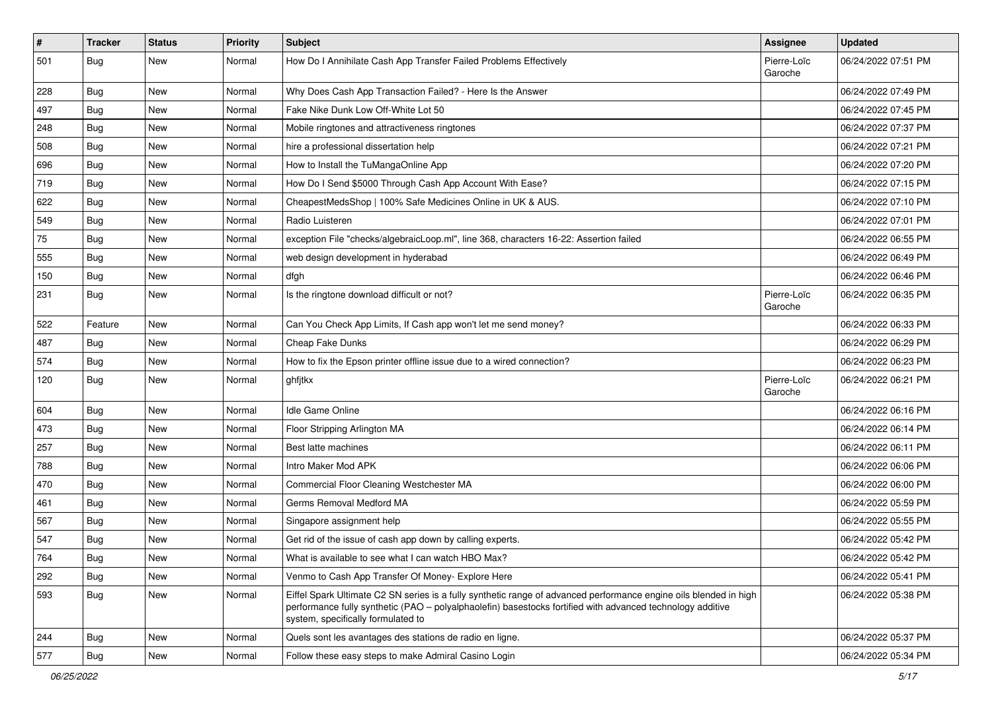| $\vert$ # | <b>Tracker</b> | <b>Status</b> | <b>Priority</b> | Subject                                                                                                                                                                                                                                                               | <b>Assignee</b>        | <b>Updated</b>      |
|-----------|----------------|---------------|-----------------|-----------------------------------------------------------------------------------------------------------------------------------------------------------------------------------------------------------------------------------------------------------------------|------------------------|---------------------|
| 501       | <b>Bug</b>     | New           | Normal          | How Do I Annihilate Cash App Transfer Failed Problems Effectively                                                                                                                                                                                                     | Pierre-Loïc<br>Garoche | 06/24/2022 07:51 PM |
| 228       | Bug            | New           | Normal          | Why Does Cash App Transaction Failed? - Here Is the Answer                                                                                                                                                                                                            |                        | 06/24/2022 07:49 PM |
| 497       | Bug            | New           | Normal          | Fake Nike Dunk Low Off-White Lot 50                                                                                                                                                                                                                                   |                        | 06/24/2022 07:45 PM |
| 248       | <b>Bug</b>     | <b>New</b>    | Normal          | Mobile ringtones and attractiveness ringtones                                                                                                                                                                                                                         |                        | 06/24/2022 07:37 PM |
| 508       | <b>Bug</b>     | New           | Normal          | hire a professional dissertation help                                                                                                                                                                                                                                 |                        | 06/24/2022 07:21 PM |
| 696       | Bug            | New           | Normal          | How to Install the TuMangaOnline App                                                                                                                                                                                                                                  |                        | 06/24/2022 07:20 PM |
| 719       | Bug            | <b>New</b>    | Normal          | How Do I Send \$5000 Through Cash App Account With Ease?                                                                                                                                                                                                              |                        | 06/24/2022 07:15 PM |
| 622       | Bug            | New           | Normal          | CheapestMedsShop   100% Safe Medicines Online in UK & AUS.                                                                                                                                                                                                            |                        | 06/24/2022 07:10 PM |
| 549       | <b>Bug</b>     | New           | Normal          | Radio Luisteren                                                                                                                                                                                                                                                       |                        | 06/24/2022 07:01 PM |
| 75        | Bug            | New           | Normal          | exception File "checks/algebraicLoop.ml", line 368, characters 16-22: Assertion failed                                                                                                                                                                                |                        | 06/24/2022 06:55 PM |
| 555       | Bug            | New           | Normal          | web design development in hyderabad                                                                                                                                                                                                                                   |                        | 06/24/2022 06:49 PM |
| 150       | Bug            | New           | Normal          | dfgh                                                                                                                                                                                                                                                                  |                        | 06/24/2022 06:46 PM |
| 231       | <b>Bug</b>     | New           | Normal          | Is the ringtone download difficult or not?                                                                                                                                                                                                                            | Pierre-Loïc<br>Garoche | 06/24/2022 06:35 PM |
| 522       | Feature        | <b>New</b>    | Normal          | Can You Check App Limits, If Cash app won't let me send money?                                                                                                                                                                                                        |                        | 06/24/2022 06:33 PM |
| 487       | Bug            | New           | Normal          | Cheap Fake Dunks                                                                                                                                                                                                                                                      |                        | 06/24/2022 06:29 PM |
| 574       | Bug            | <b>New</b>    | Normal          | How to fix the Epson printer offline issue due to a wired connection?                                                                                                                                                                                                 |                        | 06/24/2022 06:23 PM |
| 120       | <b>Bug</b>     | New           | Normal          | ghfjtkx                                                                                                                                                                                                                                                               | Pierre-Loïc<br>Garoche | 06/24/2022 06:21 PM |
| 604       | Bug            | <b>New</b>    | Normal          | Idle Game Online                                                                                                                                                                                                                                                      |                        | 06/24/2022 06:16 PM |
| 473       | <b>Bug</b>     | New           | Normal          | Floor Stripping Arlington MA                                                                                                                                                                                                                                          |                        | 06/24/2022 06:14 PM |
| 257       | Bug            | New           | Normal          | Best latte machines                                                                                                                                                                                                                                                   |                        | 06/24/2022 06:11 PM |
| 788       | <b>Bug</b>     | New           | Normal          | Intro Maker Mod APK                                                                                                                                                                                                                                                   |                        | 06/24/2022 06:06 PM |
| 470       | <b>Bug</b>     | New           | Normal          | Commercial Floor Cleaning Westchester MA                                                                                                                                                                                                                              |                        | 06/24/2022 06:00 PM |
| 461       | Bug            | New           | Normal          | Germs Removal Medford MA                                                                                                                                                                                                                                              |                        | 06/24/2022 05:59 PM |
| 567       | Bug            | New           | Normal          | Singapore assignment help                                                                                                                                                                                                                                             |                        | 06/24/2022 05:55 PM |
| 547       | Bug            | New           | Normal          | Get rid of the issue of cash app down by calling experts.                                                                                                                                                                                                             |                        | 06/24/2022 05:42 PM |
| 764       | Bug            | New           | Normal          | What is available to see what I can watch HBO Max?                                                                                                                                                                                                                    |                        | 06/24/2022 05:42 PM |
| 292       | <b>Bug</b>     | <b>New</b>    | Normal          | Venmo to Cash App Transfer Of Money- Explore Here                                                                                                                                                                                                                     |                        | 06/24/2022 05:41 PM |
| 593       | <b>Bug</b>     | New           | Normal          | Eiffel Spark Ultimate C2 SN series is a fully synthetic range of advanced performance engine oils blended in high<br>performance fully synthetic (PAO - polyalphaolefin) basestocks fortified with advanced technology additive<br>system, specifically formulated to |                        | 06/24/2022 05:38 PM |
| 244       | <b>Bug</b>     | New           | Normal          | Quels sont les avantages des stations de radio en ligne.                                                                                                                                                                                                              |                        | 06/24/2022 05:37 PM |
| 577       | <b>Bug</b>     | New           | Normal          | Follow these easy steps to make Admiral Casino Login                                                                                                                                                                                                                  |                        | 06/24/2022 05:34 PM |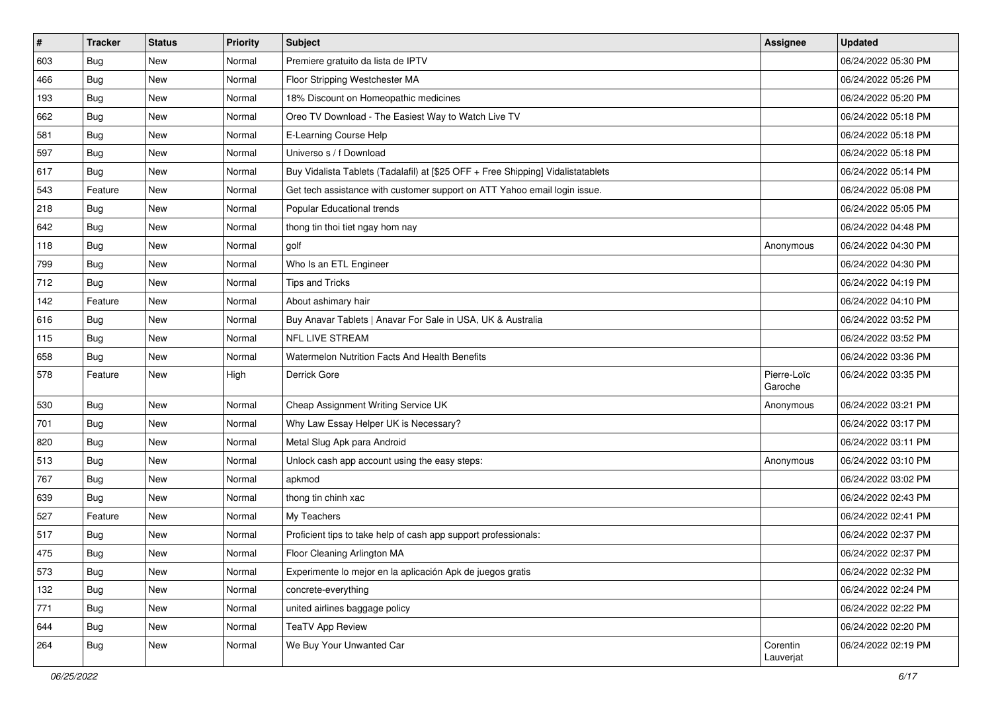| $\sharp$ | <b>Tracker</b> | <b>Status</b> | <b>Priority</b> | Subject                                                                          | Assignee               | <b>Updated</b>      |
|----------|----------------|---------------|-----------------|----------------------------------------------------------------------------------|------------------------|---------------------|
| 603      | Bug            | New           | Normal          | Premiere gratuito da lista de IPTV                                               |                        | 06/24/2022 05:30 PM |
| 466      | Bug            | <b>New</b>    | Normal          | Floor Stripping Westchester MA                                                   |                        | 06/24/2022 05:26 PM |
| 193      | Bug            | New           | Normal          | 18% Discount on Homeopathic medicines                                            |                        | 06/24/2022 05:20 PM |
| 662      | Bug            | <b>New</b>    | Normal          | Oreo TV Download - The Easiest Way to Watch Live TV                              |                        | 06/24/2022 05:18 PM |
| 581      | <b>Bug</b>     | <b>New</b>    | Normal          | E-Learning Course Help                                                           |                        | 06/24/2022 05:18 PM |
| 597      | <b>Bug</b>     | New           | Normal          | Universo s / f Download                                                          |                        | 06/24/2022 05:18 PM |
| 617      | <b>Bug</b>     | <b>New</b>    | Normal          | Buy Vidalista Tablets (Tadalafil) at [\$25 OFF + Free Shipping] Vidalistatablets |                        | 06/24/2022 05:14 PM |
| 543      | Feature        | New           | Normal          | Get tech assistance with customer support on ATT Yahoo email login issue.        |                        | 06/24/2022 05:08 PM |
| 218      | <b>Bug</b>     | New           | Normal          | Popular Educational trends                                                       |                        | 06/24/2022 05:05 PM |
| 642      | Bug            | <b>New</b>    | Normal          | thong tin thoi tiet ngay hom nay                                                 |                        | 06/24/2022 04:48 PM |
| 118      | Bug            | New           | Normal          | golf                                                                             | Anonymous              | 06/24/2022 04:30 PM |
| 799      | Bug            | New           | Normal          | Who Is an ETL Engineer                                                           |                        | 06/24/2022 04:30 PM |
| 712      | <b>Bug</b>     | New           | Normal          | Tips and Tricks                                                                  |                        | 06/24/2022 04:19 PM |
| 142      | Feature        | <b>New</b>    | Normal          | About ashimary hair                                                              |                        | 06/24/2022 04:10 PM |
| 616      | <b>Bug</b>     | <b>New</b>    | Normal          | Buy Anavar Tablets   Anavar For Sale in USA, UK & Australia                      |                        | 06/24/2022 03:52 PM |
| 115      | <b>Bug</b>     | New           | Normal          | <b>NFL LIVE STREAM</b>                                                           |                        | 06/24/2022 03:52 PM |
| 658      | Bug            | <b>New</b>    | Normal          | Watermelon Nutrition Facts And Health Benefits                                   |                        | 06/24/2022 03:36 PM |
| 578      | Feature        | <b>New</b>    | High            | Derrick Gore                                                                     | Pierre-Loïc<br>Garoche | 06/24/2022 03:35 PM |
| 530      | Bug            | <b>New</b>    | Normal          | Cheap Assignment Writing Service UK                                              | Anonymous              | 06/24/2022 03:21 PM |
| 701      | <b>Bug</b>     | New           | Normal          | Why Law Essay Helper UK is Necessary?                                            |                        | 06/24/2022 03:17 PM |
| 820      | <b>Bug</b>     | <b>New</b>    | Normal          | Metal Slug Apk para Android                                                      |                        | 06/24/2022 03:11 PM |
| 513      | Bug            | <b>New</b>    | Normal          | Unlock cash app account using the easy steps:                                    | Anonymous              | 06/24/2022 03:10 PM |
| 767      | Bug            | New           | Normal          | apkmod                                                                           |                        | 06/24/2022 03:02 PM |
| 639      | <b>Bug</b>     | <b>New</b>    | Normal          | thong tin chinh xac                                                              |                        | 06/24/2022 02:43 PM |
| 527      | Feature        | New           | Normal          | My Teachers                                                                      |                        | 06/24/2022 02:41 PM |
| 517      | Bug            | New           | Normal          | Proficient tips to take help of cash app support professionals:                  |                        | 06/24/2022 02:37 PM |
| 475      | <b>Bug</b>     | New           | Normal          | Floor Cleaning Arlington MA                                                      |                        | 06/24/2022 02:37 PM |
| 573      | <b>Bug</b>     | New           | Normal          | Experimente lo mejor en la aplicación Apk de juegos gratis                       |                        | 06/24/2022 02:32 PM |
| 132      | <b>Bug</b>     | New           | Normal          | concrete-everything                                                              |                        | 06/24/2022 02:24 PM |
| 771      | Bug            | New           | Normal          | united airlines baggage policy                                                   |                        | 06/24/2022 02:22 PM |
| 644      | <b>Bug</b>     | New           | Normal          | <b>TeaTV App Review</b>                                                          |                        | 06/24/2022 02:20 PM |
| 264      | <b>Bug</b>     | New           | Normal          | We Buy Your Unwanted Car                                                         | Corentin<br>Lauverjat  | 06/24/2022 02:19 PM |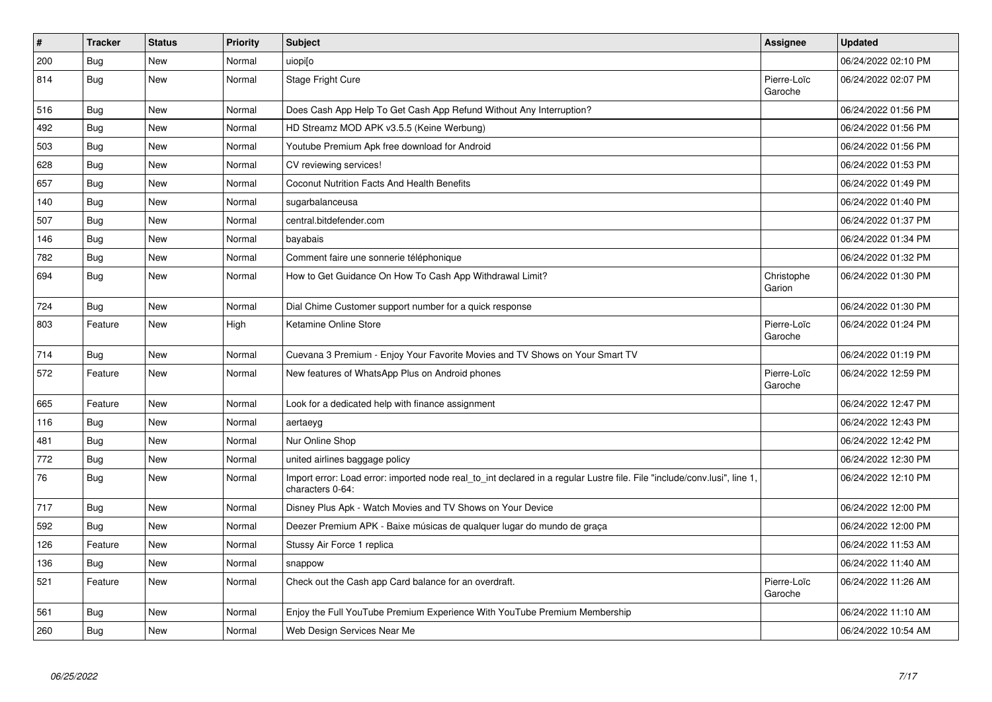| $\vert$ # | <b>Tracker</b> | <b>Status</b> | <b>Priority</b> | <b>Subject</b>                                                                                                                               | <b>Assignee</b>        | <b>Updated</b>      |
|-----------|----------------|---------------|-----------------|----------------------------------------------------------------------------------------------------------------------------------------------|------------------------|---------------------|
| 200       | <b>Bug</b>     | <b>New</b>    | Normal          | uiopi[o                                                                                                                                      |                        | 06/24/2022 02:10 PM |
| 814       | <b>Bug</b>     | <b>New</b>    | Normal          | Stage Fright Cure                                                                                                                            | Pierre-Loïc<br>Garoche | 06/24/2022 02:07 PM |
| 516       | Bug            | <b>New</b>    | Normal          | Does Cash App Help To Get Cash App Refund Without Any Interruption?                                                                          |                        | 06/24/2022 01:56 PM |
| 492       | <b>Bug</b>     | <b>New</b>    | Normal          | HD Streamz MOD APK v3.5.5 (Keine Werbung)                                                                                                    |                        | 06/24/2022 01:56 PM |
| 503       | <b>Bug</b>     | New           | Normal          | Youtube Premium Apk free download for Android                                                                                                |                        | 06/24/2022 01:56 PM |
| 628       | <b>Bug</b>     | <b>New</b>    | Normal          | CV reviewing services!                                                                                                                       |                        | 06/24/2022 01:53 PM |
| 657       | Bug            | <b>New</b>    | Normal          | Coconut Nutrition Facts And Health Benefits                                                                                                  |                        | 06/24/2022 01:49 PM |
| 140       | Bug            | <b>New</b>    | Normal          | sugarbalanceusa                                                                                                                              |                        | 06/24/2022 01:40 PM |
| 507       | <b>Bug</b>     | <b>New</b>    | Normal          | central.bitdefender.com                                                                                                                      |                        | 06/24/2022 01:37 PM |
| 146       | Bug            | <b>New</b>    | Normal          | bayabais                                                                                                                                     |                        | 06/24/2022 01:34 PM |
| 782       | <b>Bug</b>     | <b>New</b>    | Normal          | Comment faire une sonnerie téléphonique                                                                                                      |                        | 06/24/2022 01:32 PM |
| 694       | <b>Bug</b>     | <b>New</b>    | Normal          | How to Get Guidance On How To Cash App Withdrawal Limit?                                                                                     | Christophe<br>Garion   | 06/24/2022 01:30 PM |
| 724       | <b>Bug</b>     | <b>New</b>    | Normal          | Dial Chime Customer support number for a quick response                                                                                      |                        | 06/24/2022 01:30 PM |
| 803       | Feature        | New           | High            | Ketamine Online Store                                                                                                                        | Pierre-Loïc<br>Garoche | 06/24/2022 01:24 PM |
| 714       | Bug            | <b>New</b>    | Normal          | Cuevana 3 Premium - Enjoy Your Favorite Movies and TV Shows on Your Smart TV                                                                 |                        | 06/24/2022 01:19 PM |
| 572       | Feature        | New           | Normal          | New features of WhatsApp Plus on Android phones                                                                                              | Pierre-Loïc<br>Garoche | 06/24/2022 12:59 PM |
| 665       | Feature        | New           | Normal          | Look for a dedicated help with finance assignment                                                                                            |                        | 06/24/2022 12:47 PM |
| 116       | <b>Bug</b>     | <b>New</b>    | Normal          | aertaeyg                                                                                                                                     |                        | 06/24/2022 12:43 PM |
| 481       | <b>Bug</b>     | <b>New</b>    | Normal          | Nur Online Shop                                                                                                                              |                        | 06/24/2022 12:42 PM |
| 772       | Bug            | <b>New</b>    | Normal          | united airlines baggage policy                                                                                                               |                        | 06/24/2022 12:30 PM |
| 76        | <b>Bug</b>     | <b>New</b>    | Normal          | Import error: Load error: imported node real_to_int declared in a regular Lustre file. File "include/conv.lusi", line 1,<br>characters 0-64: |                        | 06/24/2022 12:10 PM |
| 717       | <b>Bug</b>     | New           | Normal          | Disney Plus Apk - Watch Movies and TV Shows on Your Device                                                                                   |                        | 06/24/2022 12:00 PM |
| 592       | <b>Bug</b>     | <b>New</b>    | Normal          | Deezer Premium APK - Baixe músicas de qualquer lugar do mundo de graça                                                                       |                        | 06/24/2022 12:00 PM |
| 126       | Feature        | <b>New</b>    | Normal          | Stussy Air Force 1 replica                                                                                                                   |                        | 06/24/2022 11:53 AM |
| 136       | <b>Bug</b>     | <b>New</b>    | Normal          | snappow                                                                                                                                      |                        | 06/24/2022 11:40 AM |
| 521       | Feature        | New           | Normal          | Check out the Cash app Card balance for an overdraft.                                                                                        | Pierre-Loïc<br>Garoche | 06/24/2022 11:26 AM |
| 561       | Bug            | <b>New</b>    | Normal          | Enjoy the Full YouTube Premium Experience With YouTube Premium Membership                                                                    |                        | 06/24/2022 11:10 AM |
| 260       | Bug            | New           | Normal          | Web Design Services Near Me                                                                                                                  |                        | 06/24/2022 10:54 AM |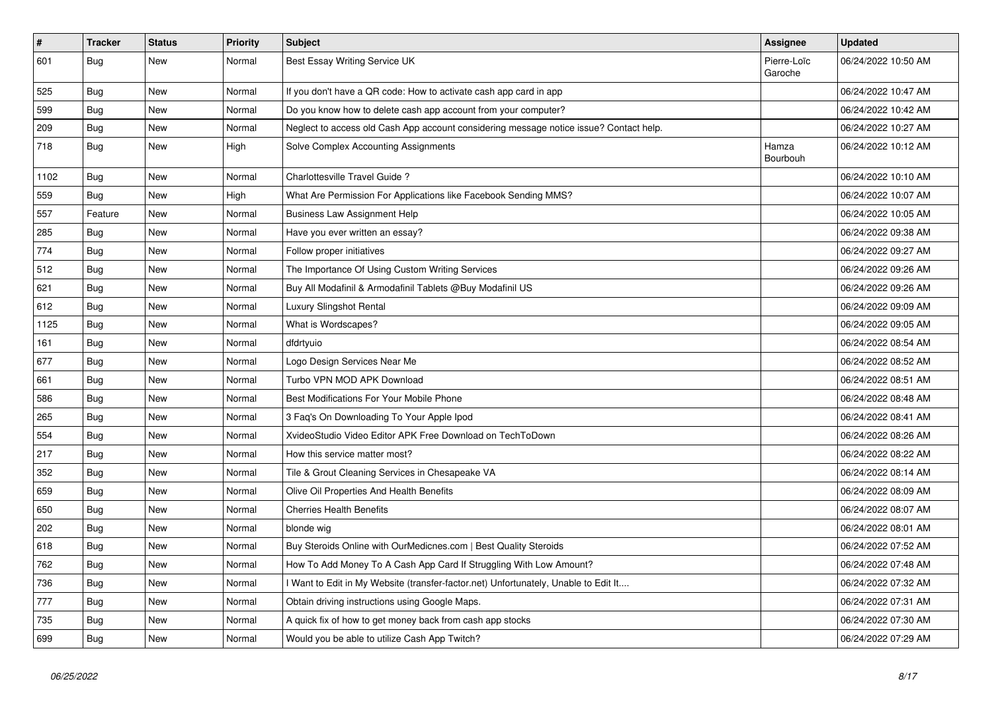| $\vert$ # | <b>Tracker</b> | <b>Status</b> | <b>Priority</b> | <b>Subject</b>                                                                         | <b>Assignee</b>        | <b>Updated</b>      |
|-----------|----------------|---------------|-----------------|----------------------------------------------------------------------------------------|------------------------|---------------------|
| 601       | Bug            | New           | Normal          | Best Essay Writing Service UK                                                          | Pierre-Loïc<br>Garoche | 06/24/2022 10:50 AM |
| 525       | Bug            | New           | Normal          | If you don't have a QR code: How to activate cash app card in app                      |                        | 06/24/2022 10:47 AM |
| 599       | Bug            | New           | Normal          | Do you know how to delete cash app account from your computer?                         |                        | 06/24/2022 10:42 AM |
| 209       | Bug            | New           | Normal          | Neglect to access old Cash App account considering message notice issue? Contact help. |                        | 06/24/2022 10:27 AM |
| 718       | Bug            | New           | High            | Solve Complex Accounting Assignments                                                   | Hamza<br>Bourbouh      | 06/24/2022 10:12 AM |
| 1102      | Bug            | <b>New</b>    | Normal          | Charlottesville Travel Guide?                                                          |                        | 06/24/2022 10:10 AM |
| 559       | Bug            | <b>New</b>    | High            | What Are Permission For Applications like Facebook Sending MMS?                        |                        | 06/24/2022 10:07 AM |
| 557       | Feature        | New           | Normal          | Business Law Assignment Help                                                           |                        | 06/24/2022 10:05 AM |
| 285       | Bug            | New           | Normal          | Have you ever written an essay?                                                        |                        | 06/24/2022 09:38 AM |
| 774       | Bug            | New           | Normal          | Follow proper initiatives                                                              |                        | 06/24/2022 09:27 AM |
| 512       | Bug            | New           | Normal          | The Importance Of Using Custom Writing Services                                        |                        | 06/24/2022 09:26 AM |
| 621       | Bug            | New           | Normal          | Buy All Modafinil & Armodafinil Tablets @Buy Modafinil US                              |                        | 06/24/2022 09:26 AM |
| 612       | Bug            | <b>New</b>    | Normal          | Luxury Slingshot Rental                                                                |                        | 06/24/2022 09:09 AM |
| 1125      | Bug            | <b>New</b>    | Normal          | What is Wordscapes?                                                                    |                        | 06/24/2022 09:05 AM |
| 161       | Bug            | New           | Normal          | dfdrtyuio                                                                              |                        | 06/24/2022 08:54 AM |
| 677       | Bug            | New           | Normal          | Logo Design Services Near Me                                                           |                        | 06/24/2022 08:52 AM |
| 661       | Bug            | New           | Normal          | Turbo VPN MOD APK Download                                                             |                        | 06/24/2022 08:51 AM |
| 586       | Bug            | New           | Normal          | Best Modifications For Your Mobile Phone                                               |                        | 06/24/2022 08:48 AM |
| 265       | Bug            | New           | Normal          | 3 Faq's On Downloading To Your Apple Ipod                                              |                        | 06/24/2022 08:41 AM |
| 554       | Bug            | New           | Normal          | XvideoStudio Video Editor APK Free Download on TechToDown                              |                        | 06/24/2022 08:26 AM |
| 217       | Bug            | New           | Normal          | How this service matter most?                                                          |                        | 06/24/2022 08:22 AM |
| 352       | Bug            | New           | Normal          | Tile & Grout Cleaning Services in Chesapeake VA                                        |                        | 06/24/2022 08:14 AM |
| 659       | <b>Bug</b>     | New           | Normal          | Olive Oil Properties And Health Benefits                                               |                        | 06/24/2022 08:09 AM |
| 650       | Bug            | New           | Normal          | <b>Cherries Health Benefits</b>                                                        |                        | 06/24/2022 08:07 AM |
| 202       | Bug            | New           | Normal          | blonde wig                                                                             |                        | 06/24/2022 08:01 AM |
| 618       | Bug            | New           | Normal          | Buy Steroids Online with OurMedicnes.com   Best Quality Steroids                       |                        | 06/24/2022 07:52 AM |
| 762       | Bug            | New           | Normal          | How To Add Money To A Cash App Card If Struggling With Low Amount?                     |                        | 06/24/2022 07:48 AM |
| 736       | Bug            | New           | Normal          | I Want to Edit in My Website (transfer-factor.net) Unfortunately, Unable to Edit It    |                        | 06/24/2022 07:32 AM |
| 777       | Bug            | New           | Normal          | Obtain driving instructions using Google Maps.                                         |                        | 06/24/2022 07:31 AM |
| 735       | Bug            | New           | Normal          | A quick fix of how to get money back from cash app stocks                              |                        | 06/24/2022 07:30 AM |
| 699       | Bug            | New           | Normal          | Would you be able to utilize Cash App Twitch?                                          |                        | 06/24/2022 07:29 AM |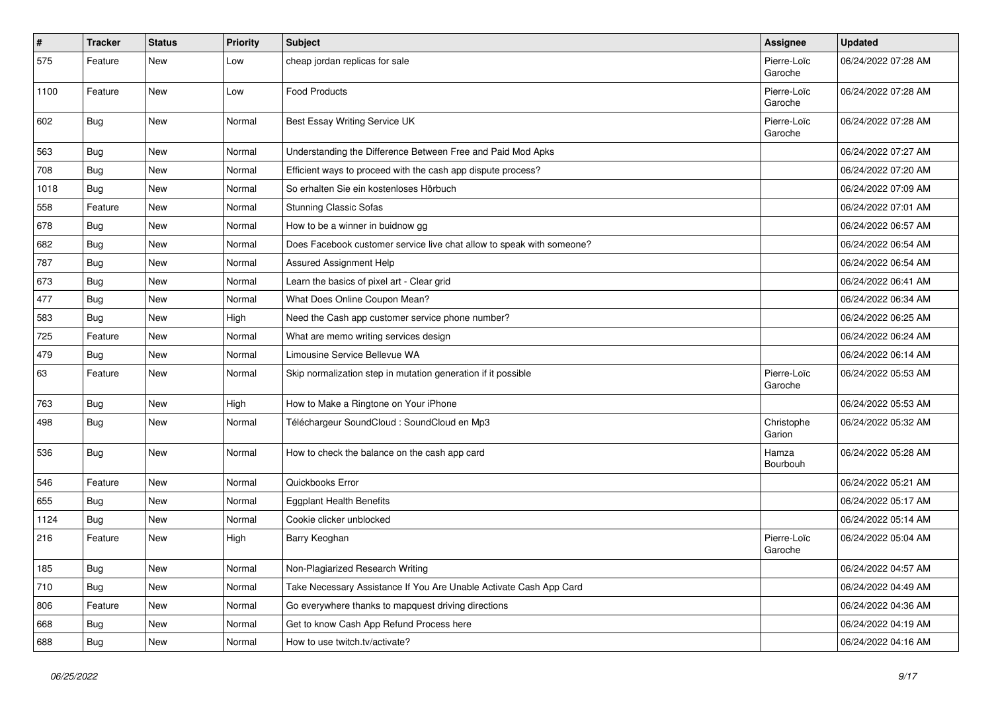| $\vert$ # | <b>Tracker</b> | <b>Status</b> | <b>Priority</b> | Subject                                                               | Assignee               | <b>Updated</b>      |
|-----------|----------------|---------------|-----------------|-----------------------------------------------------------------------|------------------------|---------------------|
| 575       | Feature        | New           | Low             | cheap jordan replicas for sale                                        | Pierre-Loïc<br>Garoche | 06/24/2022 07:28 AM |
| 1100      | Feature        | <b>New</b>    | Low             | <b>Food Products</b>                                                  | Pierre-Loïc<br>Garoche | 06/24/2022 07:28 AM |
| 602       | Bug            | <b>New</b>    | Normal          | Best Essay Writing Service UK                                         | Pierre-Loïc<br>Garoche | 06/24/2022 07:28 AM |
| 563       | Bug            | <b>New</b>    | Normal          | Understanding the Difference Between Free and Paid Mod Apks           |                        | 06/24/2022 07:27 AM |
| 708       | Bug            | <b>New</b>    | Normal          | Efficient ways to proceed with the cash app dispute process?          |                        | 06/24/2022 07:20 AM |
| 1018      | Bug            | <b>New</b>    | Normal          | So erhalten Sie ein kostenloses Hörbuch                               |                        | 06/24/2022 07:09 AM |
| 558       | Feature        | <b>New</b>    | Normal          | <b>Stunning Classic Sofas</b>                                         |                        | 06/24/2022 07:01 AM |
| 678       | Bug            | New           | Normal          | How to be a winner in buidnow gg                                      |                        | 06/24/2022 06:57 AM |
| 682       | <b>Bug</b>     | <b>New</b>    | Normal          | Does Facebook customer service live chat allow to speak with someone? |                        | 06/24/2022 06:54 AM |
| 787       | Bug            | <b>New</b>    | Normal          | Assured Assignment Help                                               |                        | 06/24/2022 06:54 AM |
| 673       | Bug            | New           | Normal          | Learn the basics of pixel art - Clear grid                            |                        | 06/24/2022 06:41 AM |
| 477       | Bug            | <b>New</b>    | Normal          | What Does Online Coupon Mean?                                         |                        | 06/24/2022 06:34 AM |
| 583       | <b>Bug</b>     | New           | High            | Need the Cash app customer service phone number?                      |                        | 06/24/2022 06:25 AM |
| 725       | Feature        | <b>New</b>    | Normal          | What are memo writing services design                                 |                        | 06/24/2022 06:24 AM |
| 479       | Bug            | <b>New</b>    | Normal          | Limousine Service Bellevue WA                                         |                        | 06/24/2022 06:14 AM |
| 63        | Feature        | <b>New</b>    | Normal          | Skip normalization step in mutation generation if it possible         | Pierre-Loïc<br>Garoche | 06/24/2022 05:53 AM |
| 763       | Bug            | <b>New</b>    | High            | How to Make a Ringtone on Your iPhone                                 |                        | 06/24/2022 05:53 AM |
| 498       | Bug            | <b>New</b>    | Normal          | Téléchargeur SoundCloud : SoundCloud en Mp3                           | Christophe<br>Garion   | 06/24/2022 05:32 AM |
| 536       | Bug            | <b>New</b>    | Normal          | How to check the balance on the cash app card                         | Hamza<br>Bourbouh      | 06/24/2022 05:28 AM |
| 546       | Feature        | <b>New</b>    | Normal          | Quickbooks Error                                                      |                        | 06/24/2022 05:21 AM |
| 655       | Bug            | New           | Normal          | <b>Eggplant Health Benefits</b>                                       |                        | 06/24/2022 05:17 AM |
| 1124      | <b>Bug</b>     | New           | Normal          | Cookie clicker unblocked                                              |                        | 06/24/2022 05:14 AM |
| 216       | Feature        | <b>New</b>    | High            | Barry Keoghan                                                         | Pierre-Loïc<br>Garoche | 06/24/2022 05:04 AM |
| 185       | <b>Bug</b>     | New           | Normal          | Non-Plagiarized Research Writing                                      |                        | 06/24/2022 04:57 AM |
| 710       | <b>Bug</b>     | New           | Normal          | Take Necessary Assistance If You Are Unable Activate Cash App Card    |                        | 06/24/2022 04:49 AM |
| 806       | Feature        | New           | Normal          | Go everywhere thanks to mapquest driving directions                   |                        | 06/24/2022 04:36 AM |
| 668       | <b>Bug</b>     | New           | Normal          | Get to know Cash App Refund Process here                              |                        | 06/24/2022 04:19 AM |
| 688       | <b>Bug</b>     | New           | Normal          | How to use twitch.tv/activate?                                        |                        | 06/24/2022 04:16 AM |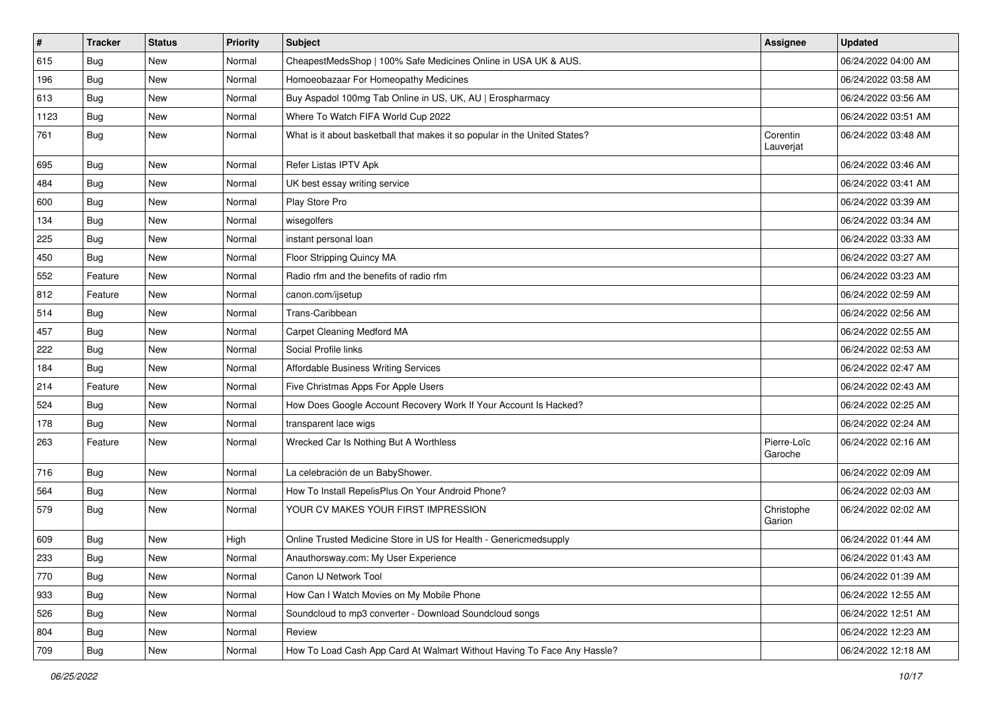| $\vert$ # | <b>Tracker</b> | <b>Status</b> | <b>Priority</b> | <b>Subject</b>                                                             | <b>Assignee</b>        | <b>Updated</b>      |
|-----------|----------------|---------------|-----------------|----------------------------------------------------------------------------|------------------------|---------------------|
| 615       | <b>Bug</b>     | New           | Normal          | CheapestMedsShop   100% Safe Medicines Online in USA UK & AUS.             |                        | 06/24/2022 04:00 AM |
| 196       | <b>Bug</b>     | <b>New</b>    | Normal          | Homoeobazaar For Homeopathy Medicines                                      |                        | 06/24/2022 03:58 AM |
| 613       | <b>Bug</b>     | New           | Normal          | Buy Aspadol 100mg Tab Online in US, UK, AU   Erospharmacy                  |                        | 06/24/2022 03:56 AM |
| 1123      | <b>Bug</b>     | New           | Normal          | Where To Watch FIFA World Cup 2022                                         |                        | 06/24/2022 03:51 AM |
| 761       | <b>Bug</b>     | <b>New</b>    | Normal          | What is it about basketball that makes it so popular in the United States? | Corentin<br>Lauverjat  | 06/24/2022 03:48 AM |
| 695       | Bug            | <b>New</b>    | Normal          | Refer Listas IPTV Apk                                                      |                        | 06/24/2022 03:46 AM |
| 484       | Bug            | <b>New</b>    | Normal          | UK best essay writing service                                              |                        | 06/24/2022 03:41 AM |
| 600       | Bug            | <b>New</b>    | Normal          | Play Store Pro                                                             |                        | 06/24/2022 03:39 AM |
| 134       | Bug            | <b>New</b>    | Normal          | wisegolfers                                                                |                        | 06/24/2022 03:34 AM |
| 225       | <b>Bug</b>     | New           | Normal          | instant personal loan                                                      |                        | 06/24/2022 03:33 AM |
| 450       | <b>Bug</b>     | <b>New</b>    | Normal          | Floor Stripping Quincy MA                                                  |                        | 06/24/2022 03:27 AM |
| 552       | Feature        | <b>New</b>    | Normal          | Radio rfm and the benefits of radio rfm                                    |                        | 06/24/2022 03:23 AM |
| 812       | Feature        | New           | Normal          | canon.com/ijsetup                                                          |                        | 06/24/2022 02:59 AM |
| 514       | <b>Bug</b>     | <b>New</b>    | Normal          | Trans-Caribbean                                                            |                        | 06/24/2022 02:56 AM |
| 457       | Bug            | New           | Normal          | Carpet Cleaning Medford MA                                                 |                        | 06/24/2022 02:55 AM |
| 222       | <b>Bug</b>     | New           | Normal          | Social Profile links                                                       |                        | 06/24/2022 02:53 AM |
| 184       | Bug            | <b>New</b>    | Normal          | <b>Affordable Business Writing Services</b>                                |                        | 06/24/2022 02:47 AM |
| 214       | Feature        | New           | Normal          | Five Christmas Apps For Apple Users                                        |                        | 06/24/2022 02:43 AM |
| 524       | <b>Bug</b>     | New           | Normal          | How Does Google Account Recovery Work If Your Account Is Hacked?           |                        | 06/24/2022 02:25 AM |
| 178       | <b>Bug</b>     | <b>New</b>    | Normal          | transparent lace wigs                                                      |                        | 06/24/2022 02:24 AM |
| 263       | Feature        | <b>New</b>    | Normal          | Wrecked Car Is Nothing But A Worthless                                     | Pierre-Loïc<br>Garoche | 06/24/2022 02:16 AM |
| 716       | <b>Bug</b>     | New           | Normal          | La celebración de un BabyShower.                                           |                        | 06/24/2022 02:09 AM |
| 564       | <b>Bug</b>     | New           | Normal          | How To Install RepelisPlus On Your Android Phone?                          |                        | 06/24/2022 02:03 AM |
| 579       | <b>Bug</b>     | <b>New</b>    | Normal          | YOUR CV MAKES YOUR FIRST IMPRESSION                                        | Christophe<br>Garion   | 06/24/2022 02:02 AM |
| 609       | <b>Bug</b>     | New           | High            | Online Trusted Medicine Store in US for Health - Genericmedsupply          |                        | 06/24/2022 01:44 AM |
| 233       | Bug            | New           | Normal          | Anauthorsway.com: My User Experience                                       |                        | 06/24/2022 01:43 AM |
| 770       | <b>Bug</b>     | New           | Normal          | Canon IJ Network Tool                                                      |                        | 06/24/2022 01:39 AM |
| 933       | <b>Bug</b>     | New           | Normal          | How Can I Watch Movies on My Mobile Phone                                  |                        | 06/24/2022 12:55 AM |
| 526       | Bug            | New           | Normal          | Soundcloud to mp3 converter - Download Soundcloud songs                    |                        | 06/24/2022 12:51 AM |
| 804       | Bug            | New           | Normal          | Review                                                                     |                        | 06/24/2022 12:23 AM |
| 709       | <b>Bug</b>     | New           | Normal          | How To Load Cash App Card At Walmart Without Having To Face Any Hassle?    |                        | 06/24/2022 12:18 AM |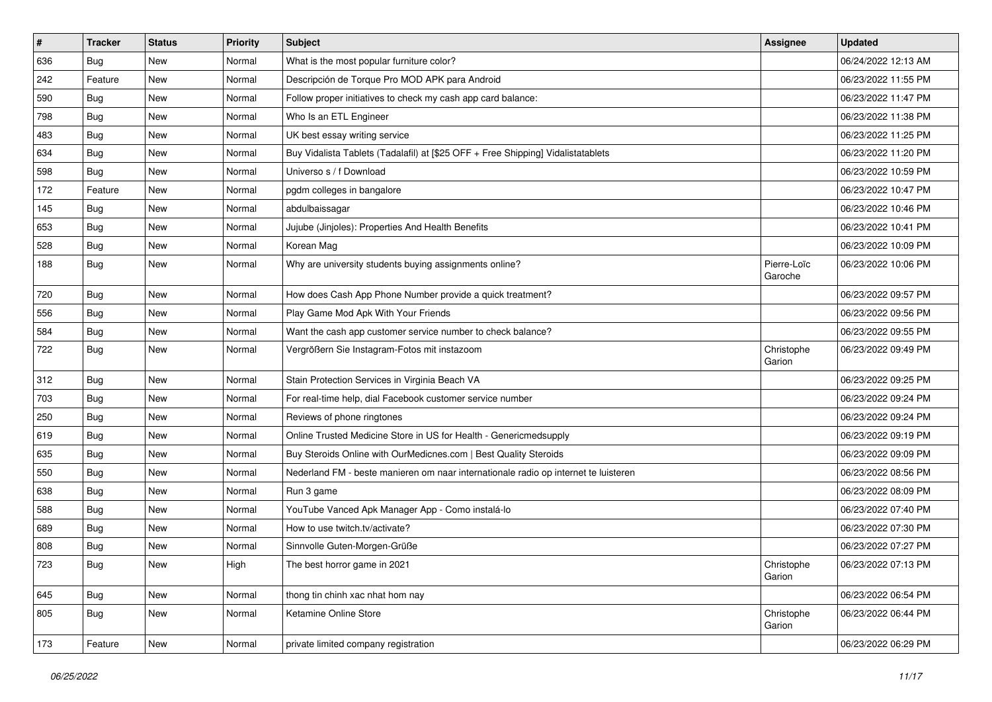| $\vert$ # | <b>Tracker</b> | <b>Status</b> | <b>Priority</b> | Subject                                                                             | <b>Assignee</b>        | <b>Updated</b>      |
|-----------|----------------|---------------|-----------------|-------------------------------------------------------------------------------------|------------------------|---------------------|
| 636       | <b>Bug</b>     | New           | Normal          | What is the most popular furniture color?                                           |                        | 06/24/2022 12:13 AM |
| 242       | Feature        | <b>New</b>    | Normal          | Descripción de Torque Pro MOD APK para Android                                      |                        | 06/23/2022 11:55 PM |
| 590       | Bug            | New           | Normal          | Follow proper initiatives to check my cash app card balance:                        |                        | 06/23/2022 11:47 PM |
| 798       | Bug            | New           | Normal          | Who Is an ETL Engineer                                                              |                        | 06/23/2022 11:38 PM |
| 483       | Bug            | <b>New</b>    | Normal          | UK best essay writing service                                                       |                        | 06/23/2022 11:25 PM |
| 634       | Bug            | New           | Normal          | Buy Vidalista Tablets (Tadalafil) at [\$25 OFF + Free Shipping] Vidalistatablets    |                        | 06/23/2022 11:20 PM |
| 598       | <b>Bug</b>     | New           | Normal          | Universo s / f Download                                                             |                        | 06/23/2022 10:59 PM |
| 172       | Feature        | New           | Normal          | pgdm colleges in bangalore                                                          |                        | 06/23/2022 10:47 PM |
| 145       | Bug            | <b>New</b>    | Normal          | abdulbaissagar                                                                      |                        | 06/23/2022 10:46 PM |
| 653       | Bug            | <b>New</b>    | Normal          | Jujube (Jinjoles): Properties And Health Benefits                                   |                        | 06/23/2022 10:41 PM |
| 528       | <b>Bug</b>     | New           | Normal          | Korean Mag                                                                          |                        | 06/23/2022 10:09 PM |
| 188       | <b>Bug</b>     | New           | Normal          | Why are university students buying assignments online?                              | Pierre-Loïc<br>Garoche | 06/23/2022 10:06 PM |
| 720       | Bug            | <b>New</b>    | Normal          | How does Cash App Phone Number provide a quick treatment?                           |                        | 06/23/2022 09:57 PM |
| 556       | Bug            | <b>New</b>    | Normal          | Play Game Mod Apk With Your Friends                                                 |                        | 06/23/2022 09:56 PM |
| 584       | Bug            | New           | Normal          | Want the cash app customer service number to check balance?                         |                        | 06/23/2022 09:55 PM |
| 722       | <b>Bug</b>     | New           | Normal          | Vergrößern Sie Instagram-Fotos mit instazoom                                        | Christophe<br>Garion   | 06/23/2022 09:49 PM |
| 312       | Bug            | New           | Normal          | Stain Protection Services in Virginia Beach VA                                      |                        | 06/23/2022 09:25 PM |
| 703       | Bug            | New           | Normal          | For real-time help, dial Facebook customer service number                           |                        | 06/23/2022 09:24 PM |
| 250       | Bug            | <b>New</b>    | Normal          | Reviews of phone ringtones                                                          |                        | 06/23/2022 09:24 PM |
| 619       | Bug            | New           | Normal          | Online Trusted Medicine Store in US for Health - Genericmedsupply                   |                        | 06/23/2022 09:19 PM |
| 635       | Bug            | <b>New</b>    | Normal          | Buy Steroids Online with OurMedicnes.com   Best Quality Steroids                    |                        | 06/23/2022 09:09 PM |
| 550       | <b>Bug</b>     | New           | Normal          | Nederland FM - beste manieren om naar internationale radio op internet te luisteren |                        | 06/23/2022 08:56 PM |
| 638       | Bug            | New           | Normal          | Run 3 game                                                                          |                        | 06/23/2022 08:09 PM |
| 588       | Bug            | <b>New</b>    | Normal          | YouTube Vanced Apk Manager App - Como instalá-lo                                    |                        | 06/23/2022 07:40 PM |
| 689       | <b>Bug</b>     | New           | Normal          | How to use twitch.tv/activate?                                                      |                        | 06/23/2022 07:30 PM |
| 808       | <b>Bug</b>     | <b>New</b>    | Normal          | Sinnvolle Guten-Morgen-Grüße                                                        |                        | 06/23/2022 07:27 PM |
| 723       | <b>Bug</b>     | <b>New</b>    | High            | The best horror game in 2021                                                        | Christophe<br>Garion   | 06/23/2022 07:13 PM |
| 645       | Bug            | New           | Normal          | thong tin chinh xac nhat hom nay                                                    |                        | 06/23/2022 06:54 PM |
| 805       | Bug            | New           | Normal          | Ketamine Online Store                                                               | Christophe<br>Garion   | 06/23/2022 06:44 PM |
| 173       | Feature        | New           | Normal          | private limited company registration                                                |                        | 06/23/2022 06:29 PM |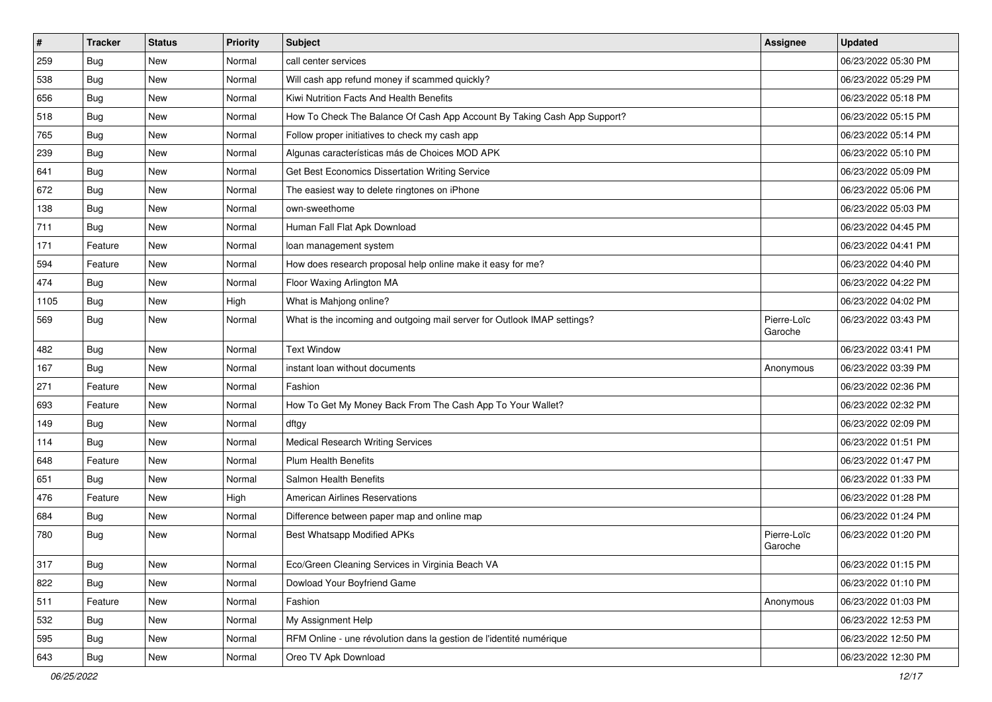| $\vert$ # | <b>Tracker</b> | <b>Status</b> | <b>Priority</b> | Subject                                                                  | Assignee               | <b>Updated</b>      |
|-----------|----------------|---------------|-----------------|--------------------------------------------------------------------------|------------------------|---------------------|
| 259       | Bug            | New           | Normal          | call center services                                                     |                        | 06/23/2022 05:30 PM |
| 538       | Bug            | New           | Normal          | Will cash app refund money if scammed quickly?                           |                        | 06/23/2022 05:29 PM |
| 656       | Bug            | New           | Normal          | Kiwi Nutrition Facts And Health Benefits                                 |                        | 06/23/2022 05:18 PM |
| 518       | Bug            | New           | Normal          | How To Check The Balance Of Cash App Account By Taking Cash App Support? |                        | 06/23/2022 05:15 PM |
| 765       | Bug            | <b>New</b>    | Normal          | Follow proper initiatives to check my cash app                           |                        | 06/23/2022 05:14 PM |
| 239       | Bug            | New           | Normal          | Algunas características más de Choices MOD APK                           |                        | 06/23/2022 05:10 PM |
| 641       | Bug            | New           | Normal          | Get Best Economics Dissertation Writing Service                          |                        | 06/23/2022 05:09 PM |
| 672       | <b>Bug</b>     | New           | Normal          | The easiest way to delete ringtones on iPhone                            |                        | 06/23/2022 05:06 PM |
| 138       | Bug            | New           | Normal          | own-sweethome                                                            |                        | 06/23/2022 05:03 PM |
| 711       | <b>Bug</b>     | <b>New</b>    | Normal          | Human Fall Flat Apk Download                                             |                        | 06/23/2022 04:45 PM |
| 171       | Feature        | New           | Normal          | loan management system                                                   |                        | 06/23/2022 04:41 PM |
| 594       | Feature        | New           | Normal          | How does research proposal help online make it easy for me?              |                        | 06/23/2022 04:40 PM |
| 474       | Bug            | <b>New</b>    | Normal          | Floor Waxing Arlington MA                                                |                        | 06/23/2022 04:22 PM |
| 1105      | Bug            | New           | High            | What is Mahjong online?                                                  |                        | 06/23/2022 04:02 PM |
| 569       | Bug            | New           | Normal          | What is the incoming and outgoing mail server for Outlook IMAP settings? | Pierre-Loïc<br>Garoche | 06/23/2022 03:43 PM |
| 482       | Bug            | <b>New</b>    | Normal          | <b>Text Window</b>                                                       |                        | 06/23/2022 03:41 PM |
| 167       | <b>Bug</b>     | <b>New</b>    | Normal          | instant loan without documents                                           | Anonymous              | 06/23/2022 03:39 PM |
| 271       | Feature        | <b>New</b>    | Normal          | Fashion                                                                  |                        | 06/23/2022 02:36 PM |
| 693       | Feature        | New           | Normal          | How To Get My Money Back From The Cash App To Your Wallet?               |                        | 06/23/2022 02:32 PM |
| 149       | Bug            | <b>New</b>    | Normal          | dftgy                                                                    |                        | 06/23/2022 02:09 PM |
| 114       | Bug            | <b>New</b>    | Normal          | <b>Medical Research Writing Services</b>                                 |                        | 06/23/2022 01:51 PM |
| 648       | Feature        | <b>New</b>    | Normal          | <b>Plum Health Benefits</b>                                              |                        | 06/23/2022 01:47 PM |
| 651       | Bug            | New           | Normal          | Salmon Health Benefits                                                   |                        | 06/23/2022 01:33 PM |
| 476       | Feature        | New           | High            | <b>American Airlines Reservations</b>                                    |                        | 06/23/2022 01:28 PM |
| 684       | Bug            | <b>New</b>    | Normal          | Difference between paper map and online map                              |                        | 06/23/2022 01:24 PM |
| 780       | <b>Bug</b>     | New           | Normal          | Best Whatsapp Modified APKs                                              | Pierre-Loïc<br>Garoche | 06/23/2022 01:20 PM |
| 317       | Bug            | New           | Normal          | Eco/Green Cleaning Services in Virginia Beach VA                         |                        | 06/23/2022 01:15 PM |
| 822       | Bug            | New           | Normal          | Dowload Your Boyfriend Game                                              |                        | 06/23/2022 01:10 PM |
| 511       | Feature        | New           | Normal          | Fashion                                                                  | Anonymous              | 06/23/2022 01:03 PM |
| 532       | Bug            | New           | Normal          | My Assignment Help                                                       |                        | 06/23/2022 12:53 PM |
| 595       | <b>Bug</b>     | New           | Normal          | RFM Online - une révolution dans la gestion de l'identité numérique      |                        | 06/23/2022 12:50 PM |
| 643       | <b>Bug</b>     | New           | Normal          | Oreo TV Apk Download                                                     |                        | 06/23/2022 12:30 PM |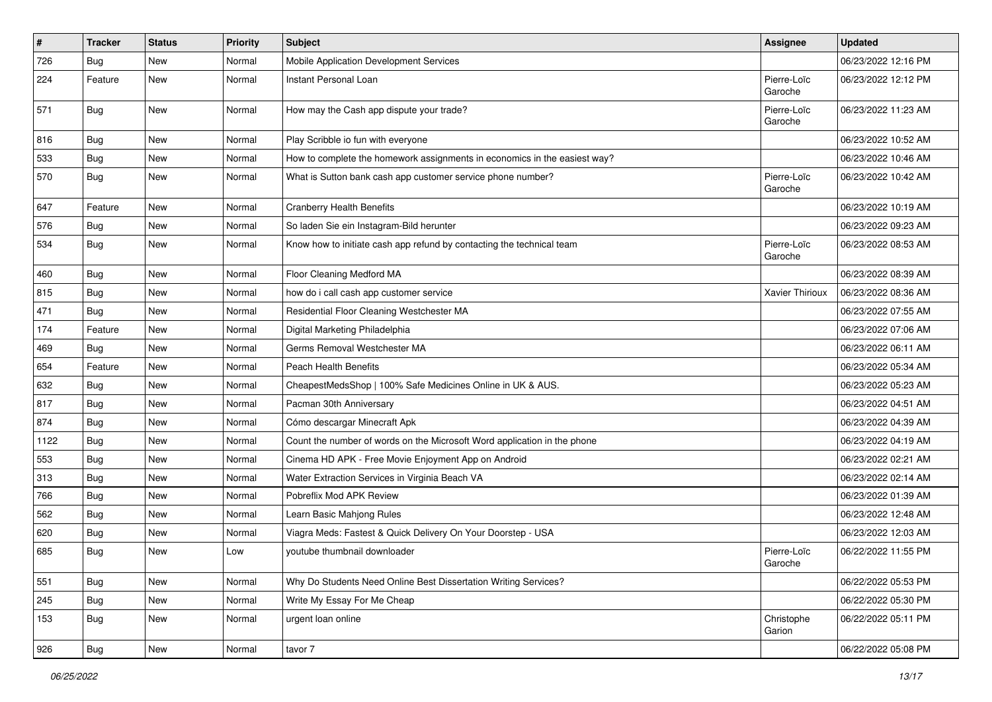| #    | <b>Tracker</b> | <b>Status</b> | <b>Priority</b> | Subject                                                                   | <b>Assignee</b>        | <b>Updated</b>      |
|------|----------------|---------------|-----------------|---------------------------------------------------------------------------|------------------------|---------------------|
| 726  | <b>Bug</b>     | New           | Normal          | Mobile Application Development Services                                   |                        | 06/23/2022 12:16 PM |
| 224  | Feature        | <b>New</b>    | Normal          | Instant Personal Loan                                                     | Pierre-Loïc<br>Garoche | 06/23/2022 12:12 PM |
| 571  | Bug            | <b>New</b>    | Normal          | How may the Cash app dispute your trade?                                  | Pierre-Loïc<br>Garoche | 06/23/2022 11:23 AM |
| 816  | Bug            | <b>New</b>    | Normal          | Play Scribble io fun with everyone                                        |                        | 06/23/2022 10:52 AM |
| 533  | <b>Bug</b>     | New           | Normal          | How to complete the homework assignments in economics in the easiest way? |                        | 06/23/2022 10:46 AM |
| 570  | <b>Bug</b>     | New           | Normal          | What is Sutton bank cash app customer service phone number?               | Pierre-Loïc<br>Garoche | 06/23/2022 10:42 AM |
| 647  | Feature        | <b>New</b>    | Normal          | <b>Cranberry Health Benefits</b>                                          |                        | 06/23/2022 10:19 AM |
| 576  | Bug            | New           | Normal          | So laden Sie ein Instagram-Bild herunter                                  |                        | 06/23/2022 09:23 AM |
| 534  | <b>Bug</b>     | New           | Normal          | Know how to initiate cash app refund by contacting the technical team     | Pierre-Loïc<br>Garoche | 06/23/2022 08:53 AM |
| 460  | <b>Bug</b>     | <b>New</b>    | Normal          | Floor Cleaning Medford MA                                                 |                        | 06/23/2022 08:39 AM |
| 815  | Bug            | New           | Normal          | how do i call cash app customer service                                   | Xavier Thirioux        | 06/23/2022 08:36 AM |
| 471  | Bug            | New           | Normal          | Residential Floor Cleaning Westchester MA                                 |                        | 06/23/2022 07:55 AM |
| 174  | Feature        | <b>New</b>    | Normal          | Digital Marketing Philadelphia                                            |                        | 06/23/2022 07:06 AM |
| 469  | Bug            | <b>New</b>    | Normal          | Germs Removal Westchester MA                                              |                        | 06/23/2022 06:11 AM |
| 654  | Feature        | New           | Normal          | <b>Peach Health Benefits</b>                                              |                        | 06/23/2022 05:34 AM |
| 632  | <b>Bug</b>     | New           | Normal          | CheapestMedsShop   100% Safe Medicines Online in UK & AUS.                |                        | 06/23/2022 05:23 AM |
| 817  | <b>Bug</b>     | <b>New</b>    | Normal          | Pacman 30th Anniversary                                                   |                        | 06/23/2022 04:51 AM |
| 874  | Bug            | New           | Normal          | Cómo descargar Minecraft Apk                                              |                        | 06/23/2022 04:39 AM |
| 1122 | Bug            | <b>New</b>    | Normal          | Count the number of words on the Microsoft Word application in the phone  |                        | 06/23/2022 04:19 AM |
| 553  | Bug            | New           | Normal          | Cinema HD APK - Free Movie Enjoyment App on Android                       |                        | 06/23/2022 02:21 AM |
| 313  | Bug            | New           | Normal          | Water Extraction Services in Virginia Beach VA                            |                        | 06/23/2022 02:14 AM |
| 766  | Bug            | <b>New</b>    | Normal          | Pobreflix Mod APK Review                                                  |                        | 06/23/2022 01:39 AM |
| 562  | <b>Bug</b>     | New           | Normal          | Learn Basic Mahjong Rules                                                 |                        | 06/23/2022 12:48 AM |
| 620  | <b>Bug</b>     | New           | Normal          | Viagra Meds: Fastest & Quick Delivery On Your Doorstep - USA              |                        | 06/23/2022 12:03 AM |
| 685  | <b>Bug</b>     | New           | Low             | youtube thumbnail downloader                                              | Pierre-Loïc<br>Garoche | 06/22/2022 11:55 PM |
| 551  | <b>Bug</b>     | New           | Normal          | Why Do Students Need Online Best Dissertation Writing Services?           |                        | 06/22/2022 05:53 PM |
| 245  | Bug            | New           | Normal          | Write My Essay For Me Cheap                                               |                        | 06/22/2022 05:30 PM |
| 153  | <b>Bug</b>     | New           | Normal          | urgent loan online                                                        | Christophe<br>Garion   | 06/22/2022 05:11 PM |
| 926  | <b>Bug</b>     | New           | Normal          | tavor 7                                                                   |                        | 06/22/2022 05:08 PM |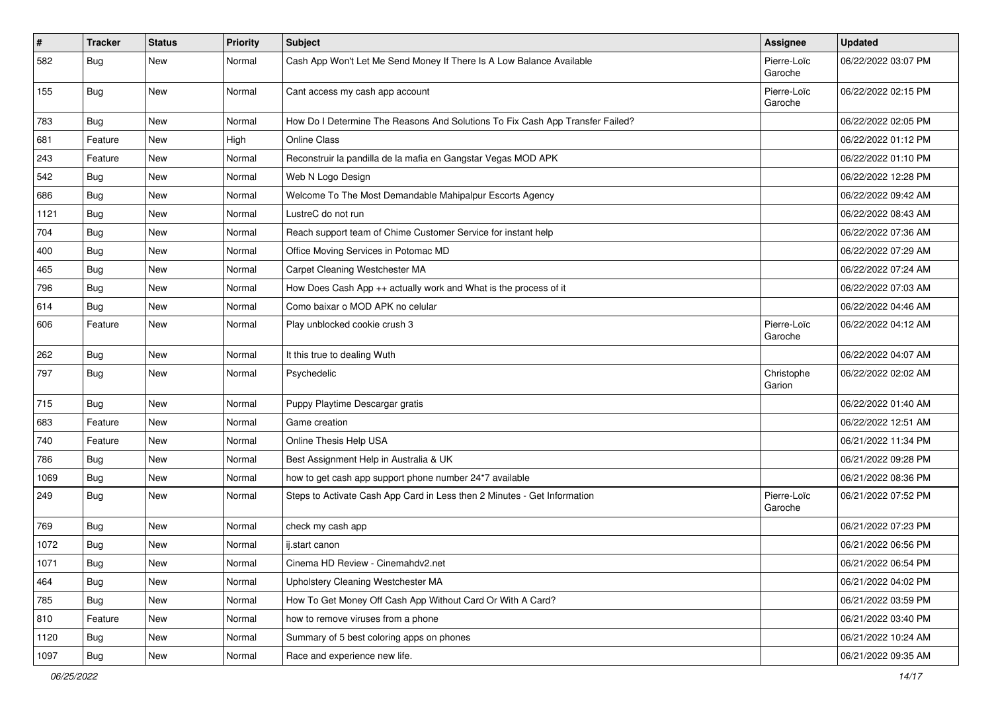| $\vert$ # | <b>Tracker</b> | <b>Status</b> | <b>Priority</b> | <b>Subject</b>                                                                | Assignee               | <b>Updated</b>      |
|-----------|----------------|---------------|-----------------|-------------------------------------------------------------------------------|------------------------|---------------------|
| 582       | <b>Bug</b>     | New           | Normal          | Cash App Won't Let Me Send Money If There Is A Low Balance Available          | Pierre-Loïc<br>Garoche | 06/22/2022 03:07 PM |
| 155       | Bug            | <b>New</b>    | Normal          | Cant access my cash app account                                               | Pierre-Loïc<br>Garoche | 06/22/2022 02:15 PM |
| 783       | Bug            | <b>New</b>    | Normal          | How Do I Determine The Reasons And Solutions To Fix Cash App Transfer Failed? |                        | 06/22/2022 02:05 PM |
| 681       | Feature        | <b>New</b>    | High            | <b>Online Class</b>                                                           |                        | 06/22/2022 01:12 PM |
| 243       | Feature        | New           | Normal          | Reconstruir la pandilla de la mafia en Gangstar Vegas MOD APK                 |                        | 06/22/2022 01:10 PM |
| 542       | Bug            | <b>New</b>    | Normal          | Web N Logo Design                                                             |                        | 06/22/2022 12:28 PM |
| 686       | Bug            | New           | Normal          | Welcome To The Most Demandable Mahipalpur Escorts Agency                      |                        | 06/22/2022 09:42 AM |
| 1121      | Bug            | <b>New</b>    | Normal          | LustreC do not run                                                            |                        | 06/22/2022 08:43 AM |
| 704       | Bug            | New           | Normal          | Reach support team of Chime Customer Service for instant help                 |                        | 06/22/2022 07:36 AM |
| 400       | Bug            | New           | Normal          | Office Moving Services in Potomac MD                                          |                        | 06/22/2022 07:29 AM |
| 465       | Bug            | <b>New</b>    | Normal          | Carpet Cleaning Westchester MA                                                |                        | 06/22/2022 07:24 AM |
| 796       | <b>Bug</b>     | New           | Normal          | How Does Cash App ++ actually work and What is the process of it              |                        | 06/22/2022 07:03 AM |
| 614       | Bug            | New           | Normal          | Como baixar o MOD APK no celular                                              |                        | 06/22/2022 04:46 AM |
| 606       | Feature        | <b>New</b>    | Normal          | Play unblocked cookie crush 3                                                 | Pierre-Loïc<br>Garoche | 06/22/2022 04:12 AM |
| 262       | Bug            | <b>New</b>    | Normal          | It this true to dealing Wuth                                                  |                        | 06/22/2022 04:07 AM |
| 797       | <b>Bug</b>     | New           | Normal          | Psychedelic                                                                   | Christophe<br>Garion   | 06/22/2022 02:02 AM |
| 715       | Bug            | New           | Normal          | Puppy Playtime Descargar gratis                                               |                        | 06/22/2022 01:40 AM |
| 683       | Feature        | <b>New</b>    | Normal          | Game creation                                                                 |                        | 06/22/2022 12:51 AM |
| 740       | Feature        | New           | Normal          | Online Thesis Help USA                                                        |                        | 06/21/2022 11:34 PM |
| 786       | <b>Bug</b>     | <b>New</b>    | Normal          | Best Assignment Help in Australia & UK                                        |                        | 06/21/2022 09:28 PM |
| 1069      | Bug            | New           | Normal          | how to get cash app support phone number 24*7 available                       |                        | 06/21/2022 08:36 PM |
| 249       | <b>Bug</b>     | <b>New</b>    | Normal          | Steps to Activate Cash App Card in Less then 2 Minutes - Get Information      | Pierre-Loïc<br>Garoche | 06/21/2022 07:52 PM |
| 769       | <b>Bug</b>     | <b>New</b>    | Normal          | check my cash app                                                             |                        | 06/21/2022 07:23 PM |
| 1072      | Bug            | <b>New</b>    | Normal          | ij.start canon                                                                |                        | 06/21/2022 06:56 PM |
| 1071      | Bug            | New           | Normal          | Cinema HD Review - Cinemahdv2.net                                             |                        | 06/21/2022 06:54 PM |
| 464       | <b>Bug</b>     | New           | Normal          | Upholstery Cleaning Westchester MA                                            |                        | 06/21/2022 04:02 PM |
| 785       | <b>Bug</b>     | New           | Normal          | How To Get Money Off Cash App Without Card Or With A Card?                    |                        | 06/21/2022 03:59 PM |
| 810       | Feature        | New           | Normal          | how to remove viruses from a phone                                            |                        | 06/21/2022 03:40 PM |
| 1120      | <b>Bug</b>     | New           | Normal          | Summary of 5 best coloring apps on phones                                     |                        | 06/21/2022 10:24 AM |
| 1097      | Bug            | New           | Normal          | Race and experience new life.                                                 |                        | 06/21/2022 09:35 AM |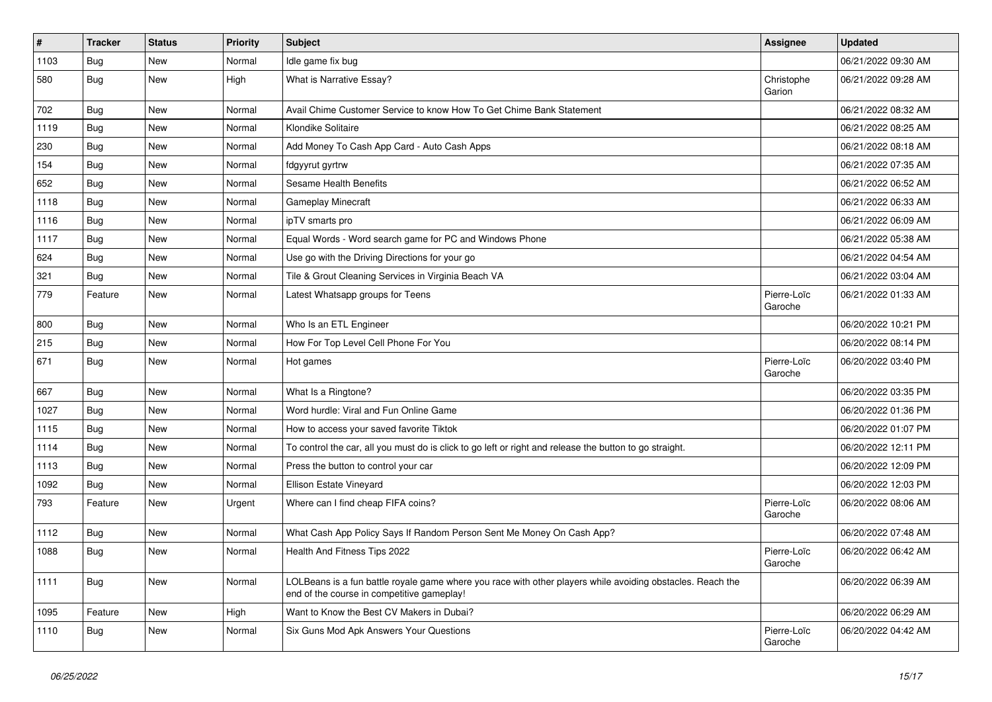| $\pmb{\sharp}$ | <b>Tracker</b> | <b>Status</b> | <b>Priority</b> | <b>Subject</b>                                                                                                                                           | <b>Assignee</b>        | <b>Updated</b>      |
|----------------|----------------|---------------|-----------------|----------------------------------------------------------------------------------------------------------------------------------------------------------|------------------------|---------------------|
| 1103           | <b>Bug</b>     | New           | Normal          | Idle game fix bug                                                                                                                                        |                        | 06/21/2022 09:30 AM |
| 580            | <b>Bug</b>     | New           | High            | What is Narrative Essay?                                                                                                                                 | Christophe<br>Garion   | 06/21/2022 09:28 AM |
| 702            | <b>Bug</b>     | <b>New</b>    | Normal          | Avail Chime Customer Service to know How To Get Chime Bank Statement                                                                                     |                        | 06/21/2022 08:32 AM |
| 1119           | <b>Bug</b>     | <b>New</b>    | Normal          | Klondike Solitaire                                                                                                                                       |                        | 06/21/2022 08:25 AM |
| 230            | <b>Bug</b>     | <b>New</b>    | Normal          | Add Money To Cash App Card - Auto Cash Apps                                                                                                              |                        | 06/21/2022 08:18 AM |
| 154            | <b>Bug</b>     | New           | Normal          | fdgyyrut gyrtrw                                                                                                                                          |                        | 06/21/2022 07:35 AM |
| 652            | <b>Bug</b>     | <b>New</b>    | Normal          | <b>Sesame Health Benefits</b>                                                                                                                            |                        | 06/21/2022 06:52 AM |
| 1118           | <b>Bug</b>     | <b>New</b>    | Normal          | <b>Gameplay Minecraft</b>                                                                                                                                |                        | 06/21/2022 06:33 AM |
| 1116           | <b>Bug</b>     | <b>New</b>    | Normal          | ipTV smarts pro                                                                                                                                          |                        | 06/21/2022 06:09 AM |
| 1117           | <b>Bug</b>     | New           | Normal          | Equal Words - Word search game for PC and Windows Phone                                                                                                  |                        | 06/21/2022 05:38 AM |
| 624            | Bug            | <b>New</b>    | Normal          | Use go with the Driving Directions for your go                                                                                                           |                        | 06/21/2022 04:54 AM |
| 321            | <b>Bug</b>     | <b>New</b>    | Normal          | Tile & Grout Cleaning Services in Virginia Beach VA                                                                                                      |                        | 06/21/2022 03:04 AM |
| 779            | Feature        | New           | Normal          | Latest Whatsapp groups for Teens                                                                                                                         | Pierre-Loïc<br>Garoche | 06/21/2022 01:33 AM |
| 800            | <b>Bug</b>     | <b>New</b>    | Normal          | Who Is an ETL Engineer                                                                                                                                   |                        | 06/20/2022 10:21 PM |
| 215            | <b>Bug</b>     | <b>New</b>    | Normal          | How For Top Level Cell Phone For You                                                                                                                     |                        | 06/20/2022 08:14 PM |
| 671            | <b>Bug</b>     | <b>New</b>    | Normal          | Hot games                                                                                                                                                | Pierre-Loïc<br>Garoche | 06/20/2022 03:40 PM |
| 667            | <b>Bug</b>     | <b>New</b>    | Normal          | What Is a Ringtone?                                                                                                                                      |                        | 06/20/2022 03:35 PM |
| 1027           | Bug            | <b>New</b>    | Normal          | Word hurdle: Viral and Fun Online Game                                                                                                                   |                        | 06/20/2022 01:36 PM |
| 1115           | <b>Bug</b>     | <b>New</b>    | Normal          | How to access your saved favorite Tiktok                                                                                                                 |                        | 06/20/2022 01:07 PM |
| 1114           | <b>Bug</b>     | New           | Normal          | To control the car, all you must do is click to go left or right and release the button to go straight.                                                  |                        | 06/20/2022 12:11 PM |
| 1113           | <b>Bug</b>     | <b>New</b>    | Normal          | Press the button to control your car                                                                                                                     |                        | 06/20/2022 12:09 PM |
| 1092           | <b>Bug</b>     | <b>New</b>    | Normal          | Ellison Estate Vineyard                                                                                                                                  |                        | 06/20/2022 12:03 PM |
| 793            | Feature        | <b>New</b>    | Urgent          | Where can I find cheap FIFA coins?                                                                                                                       | Pierre-Loïc<br>Garoche | 06/20/2022 08:06 AM |
| 1112           | <b>Bug</b>     | <b>New</b>    | Normal          | What Cash App Policy Says If Random Person Sent Me Money On Cash App?                                                                                    |                        | 06/20/2022 07:48 AM |
| 1088           | <b>Bug</b>     | <b>New</b>    | Normal          | Health And Fitness Tips 2022                                                                                                                             | Pierre-Loïc<br>Garoche | 06/20/2022 06:42 AM |
| 1111           | <b>Bug</b>     | New           | Normal          | LOLBeans is a fun battle royale game where you race with other players while avoiding obstacles. Reach the<br>end of the course in competitive gameplay! |                        | 06/20/2022 06:39 AM |
| 1095           | Feature        | New           | High            | Want to Know the Best CV Makers in Dubai?                                                                                                                |                        | 06/20/2022 06:29 AM |
| 1110           | Bug            | New           | Normal          | Six Guns Mod Apk Answers Your Questions                                                                                                                  | Pierre-Loïc<br>Garoche | 06/20/2022 04:42 AM |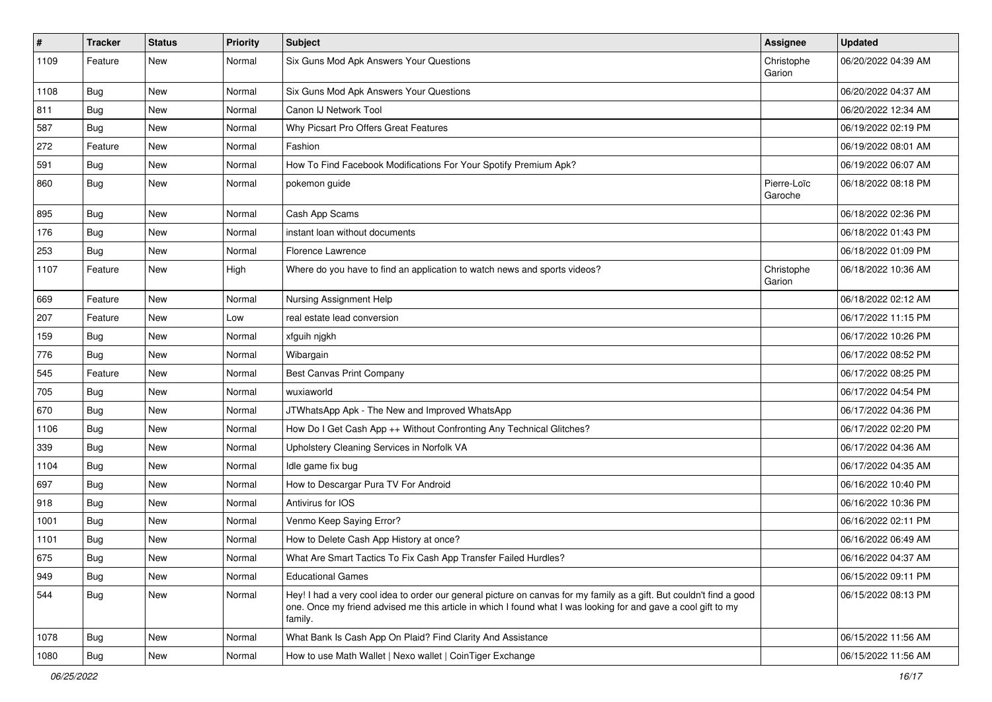| $\sharp$ | <b>Tracker</b> | <b>Status</b> | <b>Priority</b> | <b>Subject</b>                                                                                                                                                                                                                                    | Assignee               | <b>Updated</b>      |
|----------|----------------|---------------|-----------------|---------------------------------------------------------------------------------------------------------------------------------------------------------------------------------------------------------------------------------------------------|------------------------|---------------------|
| 1109     | Feature        | New           | Normal          | Six Guns Mod Apk Answers Your Questions                                                                                                                                                                                                           | Christophe<br>Garion   | 06/20/2022 04:39 AM |
| 1108     | <b>Bug</b>     | New           | Normal          | Six Guns Mod Apk Answers Your Questions                                                                                                                                                                                                           |                        | 06/20/2022 04:37 AM |
| 811      | Bug            | New           | Normal          | Canon IJ Network Tool                                                                                                                                                                                                                             |                        | 06/20/2022 12:34 AM |
| 587      | <b>Bug</b>     | New           | Normal          | Why Picsart Pro Offers Great Features                                                                                                                                                                                                             |                        | 06/19/2022 02:19 PM |
| 272      | Feature        | New           | Normal          | Fashion                                                                                                                                                                                                                                           |                        | 06/19/2022 08:01 AM |
| 591      | <b>Bug</b>     | New           | Normal          | How To Find Facebook Modifications For Your Spotify Premium Apk?                                                                                                                                                                                  |                        | 06/19/2022 06:07 AM |
| 860      | Bug            | <b>New</b>    | Normal          | pokemon quide                                                                                                                                                                                                                                     | Pierre-Loïc<br>Garoche | 06/18/2022 08:18 PM |
| 895      | Bug            | <b>New</b>    | Normal          | Cash App Scams                                                                                                                                                                                                                                    |                        | 06/18/2022 02:36 PM |
| 176      | <b>Bug</b>     | <b>New</b>    | Normal          | instant loan without documents                                                                                                                                                                                                                    |                        | 06/18/2022 01:43 PM |
| 253      | Bug            | New           | Normal          | <b>Florence Lawrence</b>                                                                                                                                                                                                                          |                        | 06/18/2022 01:09 PM |
| 1107     | Feature        | <b>New</b>    | High            | Where do you have to find an application to watch news and sports videos?                                                                                                                                                                         | Christophe<br>Garion   | 06/18/2022 10:36 AM |
| 669      | Feature        | <b>New</b>    | Normal          | Nursing Assignment Help                                                                                                                                                                                                                           |                        | 06/18/2022 02:12 AM |
| 207      | Feature        | New           | Low             | real estate lead conversion                                                                                                                                                                                                                       |                        | 06/17/2022 11:15 PM |
| 159      | Bug            | New           | Normal          | xfguih njgkh                                                                                                                                                                                                                                      |                        | 06/17/2022 10:26 PM |
| 776      | <b>Bug</b>     | <b>New</b>    | Normal          | Wibargain                                                                                                                                                                                                                                         |                        | 06/17/2022 08:52 PM |
| 545      | Feature        | New           | Normal          | Best Canvas Print Company                                                                                                                                                                                                                         |                        | 06/17/2022 08:25 PM |
| 705      | <b>Bug</b>     | New           | Normal          | wuxiaworld                                                                                                                                                                                                                                        |                        | 06/17/2022 04:54 PM |
| 670      | <b>Bug</b>     | <b>New</b>    | Normal          | JTWhatsApp Apk - The New and Improved WhatsApp                                                                                                                                                                                                    |                        | 06/17/2022 04:36 PM |
| 1106     | Bug            | <b>New</b>    | Normal          | How Do I Get Cash App ++ Without Confronting Any Technical Glitches?                                                                                                                                                                              |                        | 06/17/2022 02:20 PM |
| 339      | Bug            | New           | Normal          | Upholstery Cleaning Services in Norfolk VA                                                                                                                                                                                                        |                        | 06/17/2022 04:36 AM |
| 1104     | Bug            | New           | Normal          | Idle game fix bug                                                                                                                                                                                                                                 |                        | 06/17/2022 04:35 AM |
| 697      | Bug            | New           | Normal          | How to Descargar Pura TV For Android                                                                                                                                                                                                              |                        | 06/16/2022 10:40 PM |
| 918      | <b>Bug</b>     | <b>New</b>    | Normal          | Antivirus for IOS                                                                                                                                                                                                                                 |                        | 06/16/2022 10:36 PM |
| 1001     | Bug            | New           | Normal          | Venmo Keep Saying Error?                                                                                                                                                                                                                          |                        | 06/16/2022 02:11 PM |
| 1101     | <b>Bug</b>     | New           | Normal          | How to Delete Cash App History at once?                                                                                                                                                                                                           |                        | 06/16/2022 06:49 AM |
| 675      | Bug            | New           | Normal          | What Are Smart Tactics To Fix Cash App Transfer Failed Hurdles?                                                                                                                                                                                   |                        | 06/16/2022 04:37 AM |
| 949      | <b>Bug</b>     | <b>New</b>    | Normal          | <b>Educational Games</b>                                                                                                                                                                                                                          |                        | 06/15/2022 09:11 PM |
| 544      | Bug            | New           | Normal          | Hey! I had a very cool idea to order our general picture on canvas for my family as a gift. But couldn't find a good<br>one. Once my friend advised me this article in which I found what I was looking for and gave a cool gift to my<br>family. |                        | 06/15/2022 08:13 PM |
| 1078     | Bug            | New           | Normal          | What Bank Is Cash App On Plaid? Find Clarity And Assistance                                                                                                                                                                                       |                        | 06/15/2022 11:56 AM |
| 1080     | <b>Bug</b>     | New           | Normal          | How to use Math Wallet   Nexo wallet   CoinTiger Exchange                                                                                                                                                                                         |                        | 06/15/2022 11:56 AM |